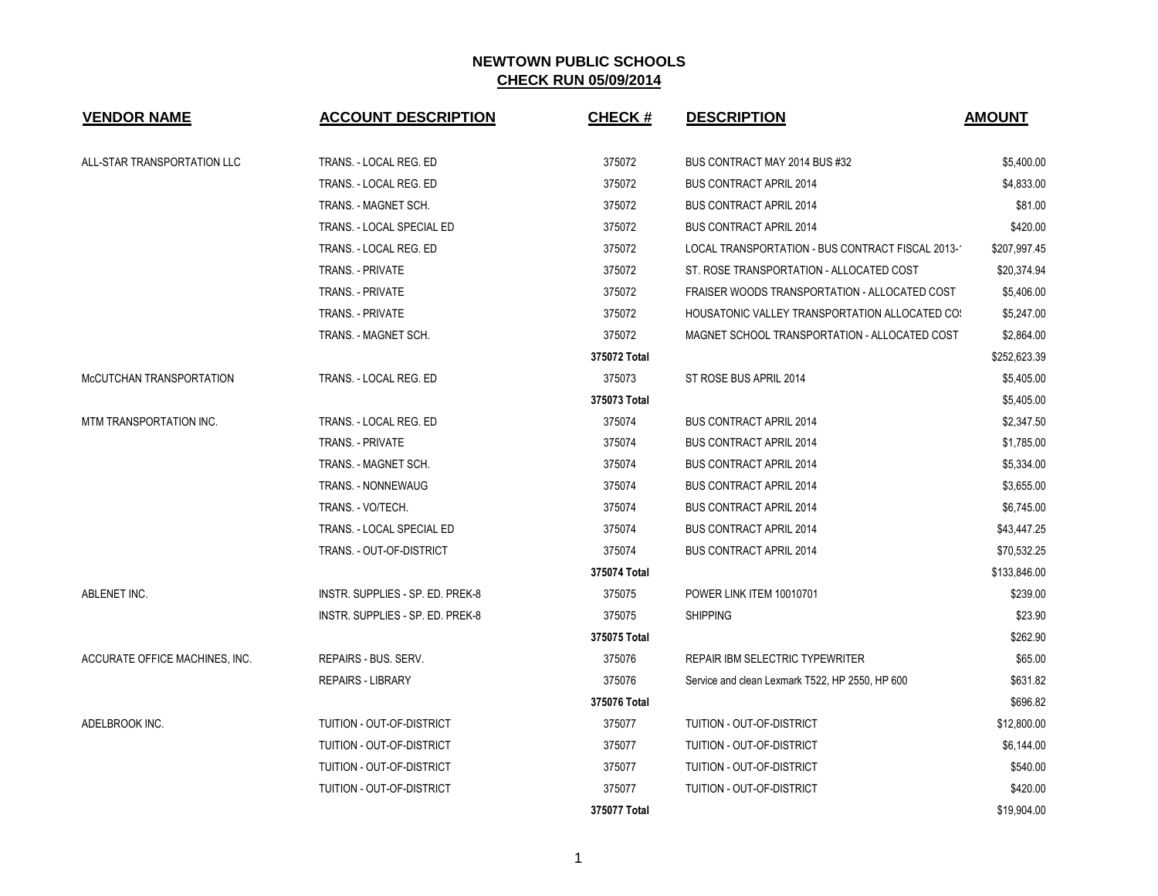| <b>VENDOR NAME</b>             | <b>ACCOUNT DESCRIPTION</b>       | <b>CHECK#</b> | <b>DESCRIPTION</b>                                | <b>AMOUNT</b> |
|--------------------------------|----------------------------------|---------------|---------------------------------------------------|---------------|
| ALL-STAR TRANSPORTATION LLC    | TRANS. - LOCAL REG. ED           | 375072        | BUS CONTRACT MAY 2014 BUS #32                     | \$5,400.00    |
|                                | TRANS. - LOCAL REG. ED           | 375072        | <b>BUS CONTRACT APRIL 2014</b>                    | \$4,833.00    |
|                                | TRANS. - MAGNET SCH.             | 375072        | <b>BUS CONTRACT APRIL 2014</b>                    | \$81.00       |
|                                | TRANS. - LOCAL SPECIAL ED        | 375072        | <b>BUS CONTRACT APRIL 2014</b>                    | \$420.00      |
|                                | TRANS. - LOCAL REG. ED           | 375072        | LOCAL TRANSPORTATION - BUS CONTRACT FISCAL 2013-1 | \$207,997.45  |
|                                | TRANS. - PRIVATE                 | 375072        | ST. ROSE TRANSPORTATION - ALLOCATED COST          | \$20,374.94   |
|                                | TRANS. - PRIVATE                 | 375072        | FRAISER WOODS TRANSPORTATION - ALLOCATED COST     | \$5,406.00    |
|                                | TRANS. - PRIVATE                 | 375072        | HOUSATONIC VALLEY TRANSPORTATION ALLOCATED COS    | \$5,247.00    |
|                                | TRANS. - MAGNET SCH.             | 375072        | MAGNET SCHOOL TRANSPORTATION - ALLOCATED COST     | \$2,864.00    |
|                                |                                  | 375072 Total  |                                                   | \$252,623.39  |
| McCUTCHAN TRANSPORTATION       | TRANS. - LOCAL REG. ED           | 375073        | ST ROSE BUS APRIL 2014                            | \$5,405.00    |
|                                |                                  | 375073 Total  |                                                   | \$5,405.00    |
| MTM TRANSPORTATION INC.        | TRANS. - LOCAL REG. ED           | 375074        | <b>BUS CONTRACT APRIL 2014</b>                    | \$2,347.50    |
|                                | TRANS. - PRIVATE                 | 375074        | <b>BUS CONTRACT APRIL 2014</b>                    | \$1,785.00    |
|                                | TRANS. - MAGNET SCH.             | 375074        | <b>BUS CONTRACT APRIL 2014</b>                    | \$5,334.00    |
|                                | TRANS. - NONNEWAUG               | 375074        | <b>BUS CONTRACT APRIL 2014</b>                    | \$3,655.00    |
|                                | TRANS. - VO/TECH.                | 375074        | <b>BUS CONTRACT APRIL 2014</b>                    | \$6,745.00    |
|                                | TRANS. - LOCAL SPECIAL ED        | 375074        | <b>BUS CONTRACT APRIL 2014</b>                    | \$43,447.25   |
|                                | TRANS. - OUT-OF-DISTRICT         | 375074        | <b>BUS CONTRACT APRIL 2014</b>                    | \$70,532.25   |
|                                |                                  | 375074 Total  |                                                   | \$133,846.00  |
| ABLENET INC.                   | INSTR. SUPPLIES - SP. ED. PREK-8 | 375075        | POWER LINK ITEM 10010701                          | \$239.00      |
|                                | INSTR. SUPPLIES - SP. ED. PREK-8 | 375075        | <b>SHIPPING</b>                                   | \$23.90       |
|                                |                                  | 375075 Total  |                                                   | \$262.90      |
| ACCURATE OFFICE MACHINES, INC. | <b>REPAIRS - BUS, SERV.</b>      | 375076        | <b>REPAIR IBM SELECTRIC TYPEWRITER</b>            | \$65.00       |
|                                | <b>REPAIRS - LIBRARY</b>         | 375076        | Service and clean Lexmark T522, HP 2550, HP 600   | \$631.82      |
|                                |                                  | 375076 Total  |                                                   | \$696.82      |
| ADELBROOK INC.                 | TUITION - OUT-OF-DISTRICT        | 375077        | TUITION - OUT-OF-DISTRICT                         | \$12,800.00   |
|                                | TUITION - OUT-OF-DISTRICT        | 375077        | TUITION - OUT-OF-DISTRICT                         | \$6,144.00    |
|                                | TUITION - OUT-OF-DISTRICT        | 375077        | TUITION - OUT-OF-DISTRICT                         | \$540.00      |
|                                | TUITION - OUT-OF-DISTRICT        | 375077        | TUITION - OUT-OF-DISTRICT                         | \$420.00      |
|                                |                                  | 375077 Total  |                                                   | \$19,904.00   |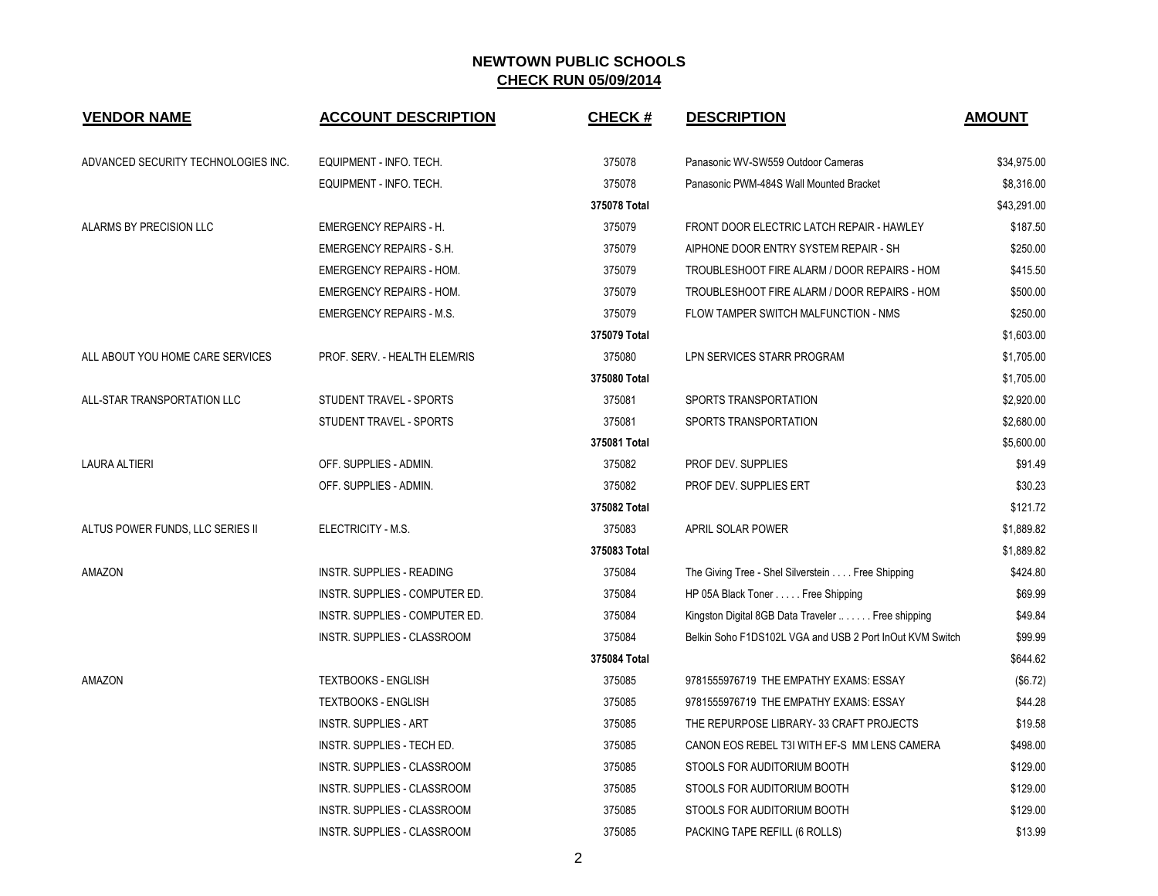| <b>VENDOR NAME</b>                  | <b>ACCOUNT DESCRIPTION</b>         | <b>CHECK#</b> | <b>DESCRIPTION</b>                                       | <b>AMOUNT</b> |
|-------------------------------------|------------------------------------|---------------|----------------------------------------------------------|---------------|
| ADVANCED SECURITY TECHNOLOGIES INC. | EQUIPMENT - INFO. TECH.            | 375078        | Panasonic WV-SW559 Outdoor Cameras                       | \$34,975.00   |
|                                     | EQUIPMENT - INFO. TECH.            | 375078        | Panasonic PWM-484S Wall Mounted Bracket                  | \$8,316.00    |
|                                     |                                    | 375078 Total  |                                                          | \$43,291.00   |
| ALARMS BY PRECISION LLC             | <b>EMERGENCY REPAIRS - H.</b>      | 375079        | FRONT DOOR ELECTRIC LATCH REPAIR - HAWLEY                | \$187.50      |
|                                     | <b>EMERGENCY REPAIRS - S.H.</b>    | 375079        | AIPHONE DOOR ENTRY SYSTEM REPAIR - SH                    | \$250.00      |
|                                     | <b>EMERGENCY REPAIRS - HOM.</b>    | 375079        | TROUBLESHOOT FIRE ALARM / DOOR REPAIRS - HOM             | \$415.50      |
|                                     | <b>EMERGENCY REPAIRS - HOM.</b>    | 375079        | TROUBLESHOOT FIRE ALARM / DOOR REPAIRS - HOM             | \$500.00      |
|                                     | <b>EMERGENCY REPAIRS - M.S.</b>    | 375079        | FLOW TAMPER SWITCH MALFUNCTION - NMS                     | \$250.00      |
|                                     |                                    | 375079 Total  |                                                          | \$1,603.00    |
| ALL ABOUT YOU HOME CARE SERVICES    | PROF. SERV. - HEALTH ELEM/RIS      | 375080        | LPN SERVICES STARR PROGRAM                               | \$1,705.00    |
|                                     |                                    | 375080 Total  |                                                          | \$1,705.00    |
| ALL-STAR TRANSPORTATION LLC         | STUDENT TRAVEL - SPORTS            | 375081        | SPORTS TRANSPORTATION                                    | \$2,920.00    |
|                                     | STUDENT TRAVEL - SPORTS            | 375081        | SPORTS TRANSPORTATION                                    | \$2,680.00    |
|                                     |                                    | 375081 Total  |                                                          | \$5,600.00    |
| <b>LAURA ALTIERI</b>                | OFF. SUPPLIES - ADMIN.             | 375082        | PROF DEV. SUPPLIES                                       | \$91.49       |
|                                     | OFF. SUPPLIES - ADMIN.             | 375082        | <b>PROF DEV. SUPPLIES ERT</b>                            | \$30.23       |
|                                     |                                    | 375082 Total  |                                                          | \$121.72      |
| ALTUS POWER FUNDS, LLC SERIES II    | ELECTRICITY - M.S.                 | 375083        | APRIL SOLAR POWER                                        | \$1,889.82    |
|                                     |                                    | 375083 Total  |                                                          | \$1,889.82    |
| AMAZON                              | INSTR. SUPPLIES - READING          | 375084        | The Giving Tree - Shel Silverstein Free Shipping         | \$424.80      |
|                                     | INSTR. SUPPLIES - COMPUTER ED.     | 375084        | HP 05A Black Toner Free Shipping                         | \$69.99       |
|                                     | INSTR. SUPPLIES - COMPUTER ED.     | 375084        | Kingston Digital 8GB Data Traveler  Free shipping        | \$49.84       |
|                                     | INSTR. SUPPLIES - CLASSROOM        | 375084        | Belkin Soho F1DS102L VGA and USB 2 Port InOut KVM Switch | \$99.99       |
|                                     |                                    | 375084 Total  |                                                          | \$644.62      |
| AMAZON                              | <b>TEXTBOOKS - ENGLISH</b>         | 375085        | 9781555976719 THE EMPATHY EXAMS: ESSAY                   | (\$6.72)      |
|                                     | <b>TEXTBOOKS - ENGLISH</b>         | 375085        | 9781555976719 THE EMPATHY EXAMS: ESSAY                   | \$44.28       |
|                                     | <b>INSTR. SUPPLIES - ART</b>       | 375085        | THE REPURPOSE LIBRARY-33 CRAFT PROJECTS                  | \$19.58       |
|                                     | INSTR. SUPPLIES - TECH ED.         | 375085        | CANON EOS REBEL T3I WITH EF-S MM LENS CAMERA             | \$498.00      |
|                                     | INSTR. SUPPLIES - CLASSROOM        | 375085        | STOOLS FOR AUDITORIUM BOOTH                              | \$129.00      |
|                                     | <b>INSTR. SUPPLIES - CLASSROOM</b> | 375085        | STOOLS FOR AUDITORIUM BOOTH                              | \$129.00      |
|                                     | INSTR. SUPPLIES - CLASSROOM        | 375085        | STOOLS FOR AUDITORIUM BOOTH                              | \$129.00      |
|                                     | INSTR. SUPPLIES - CLASSROOM        | 375085        | PACKING TAPE REFILL (6 ROLLS)                            | \$13.99       |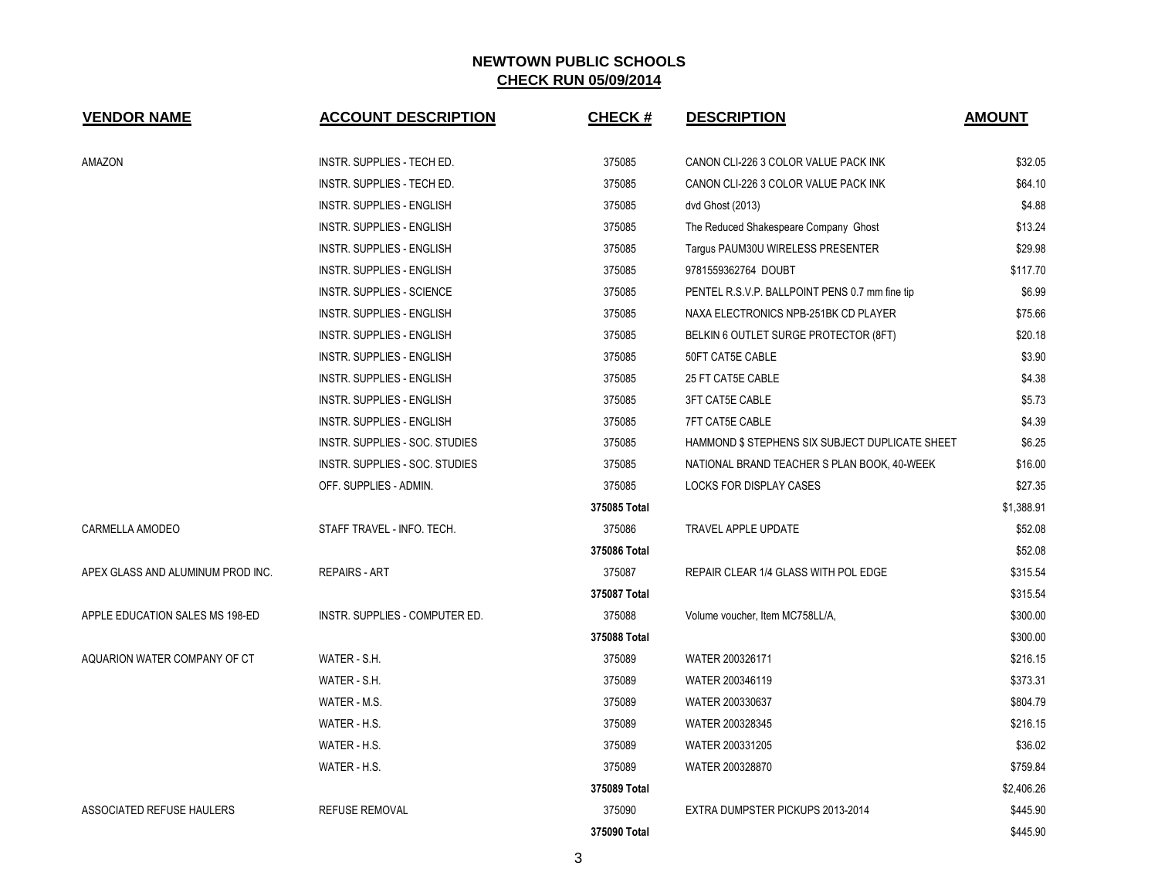| <b>VENDOR NAME</b>                | <b>ACCOUNT DESCRIPTION</b>       | <b>CHECK#</b> | <b>DESCRIPTION</b>                              | <b>AMOUNT</b> |
|-----------------------------------|----------------------------------|---------------|-------------------------------------------------|---------------|
| AMAZON                            | INSTR. SUPPLIES - TECH ED.       | 375085        | CANON CLI-226 3 COLOR VALUE PACK INK            | \$32.05       |
|                                   | INSTR. SUPPLIES - TECH ED.       | 375085        | CANON CLI-226 3 COLOR VALUE PACK INK            | \$64.10       |
|                                   | INSTR. SUPPLIES - ENGLISH        | 375085        | dvd Ghost (2013)                                | \$4.88        |
|                                   | INSTR. SUPPLIES - ENGLISH        | 375085        | The Reduced Shakespeare Company Ghost           | \$13.24       |
|                                   | INSTR. SUPPLIES - ENGLISH        | 375085        | Targus PAUM30U WIRELESS PRESENTER               | \$29.98       |
|                                   | <b>INSTR. SUPPLIES - ENGLISH</b> | 375085        | 9781559362764 DOUBT                             | \$117.70      |
|                                   | <b>INSTR. SUPPLIES - SCIENCE</b> | 375085        | PENTEL R.S.V.P. BALLPOINT PENS 0.7 mm fine tip  | \$6.99        |
|                                   | INSTR. SUPPLIES - ENGLISH        | 375085        | NAXA ELECTRONICS NPB-251BK CD PLAYER            | \$75.66       |
|                                   | INSTR. SUPPLIES - ENGLISH        | 375085        | BELKIN 6 OUTLET SURGE PROTECTOR (8FT)           | \$20.18       |
|                                   | INSTR. SUPPLIES - ENGLISH        | 375085        | 50FT CAT5E CABLE                                | \$3.90        |
|                                   | INSTR. SUPPLIES - ENGLISH        | 375085        | 25 FT CAT5E CABLE                               | \$4.38        |
|                                   | INSTR. SUPPLIES - ENGLISH        | 375085        | 3FT CAT5E CABLE                                 | \$5.73        |
|                                   | INSTR. SUPPLIES - ENGLISH        | 375085        | <b>7FT CAT5E CABLE</b>                          | \$4.39        |
|                                   | INSTR. SUPPLIES - SOC. STUDIES   | 375085        | HAMMOND \$ STEPHENS SIX SUBJECT DUPLICATE SHEET | \$6.25        |
|                                   | INSTR. SUPPLIES - SOC. STUDIES   | 375085        | NATIONAL BRAND TEACHER S PLAN BOOK, 40-WEEK     | \$16.00       |
|                                   | OFF. SUPPLIES - ADMIN.           | 375085        | LOCKS FOR DISPLAY CASES                         | \$27.35       |
|                                   |                                  | 375085 Total  |                                                 | \$1,388.91    |
| CARMELLA AMODEO                   | STAFF TRAVEL - INFO. TECH.       | 375086        | TRAVEL APPLE UPDATE                             | \$52.08       |
|                                   |                                  | 375086 Total  |                                                 | \$52.08       |
| APEX GLASS AND ALUMINUM PROD INC. | <b>REPAIRS - ART</b>             | 375087        | REPAIR CLEAR 1/4 GLASS WITH POL EDGE            | \$315.54      |
|                                   |                                  | 375087 Total  |                                                 | \$315.54      |
| APPLE EDUCATION SALES MS 198-ED   | INSTR. SUPPLIES - COMPUTER ED.   | 375088        | Volume voucher, Item MC758LL/A,                 | \$300.00      |
|                                   |                                  | 375088 Total  |                                                 | \$300.00      |
| AQUARION WATER COMPANY OF CT      | WATER - S.H.                     | 375089        | WATER 200326171                                 | \$216.15      |
|                                   | WATER - S.H.                     | 375089        | WATER 200346119                                 | \$373.31      |
|                                   | WATER - M.S.                     | 375089        | WATER 200330637                                 | \$804.79      |
|                                   | WATER - H.S.                     | 375089        | WATER 200328345                                 | \$216.15      |
|                                   | WATER - H.S.                     | 375089        | WATER 200331205                                 | \$36.02       |
|                                   | WATER - H.S.                     | 375089        | WATER 200328870                                 | \$759.84      |
|                                   |                                  | 375089 Total  |                                                 | \$2,406.26    |
| ASSOCIATED REFUSE HAULERS         | <b>REFUSE REMOVAL</b>            | 375090        | EXTRA DUMPSTER PICKUPS 2013-2014                | \$445.90      |
|                                   |                                  | 375090 Total  |                                                 | \$445.90      |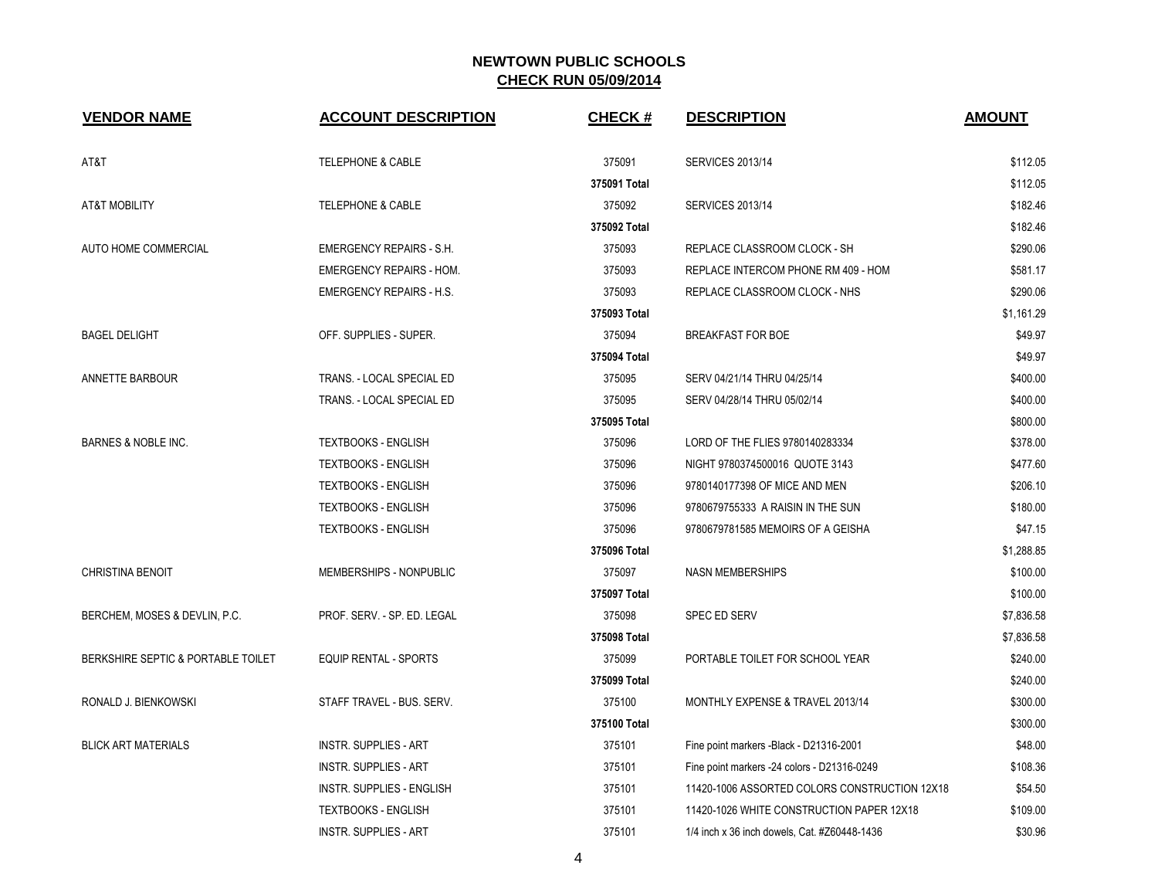| <b>VENDOR NAME</b>                 | <b>ACCOUNT DESCRIPTION</b>      | CHECK#       | <b>DESCRIPTION</b>                            | <b>AMOUNT</b> |
|------------------------------------|---------------------------------|--------------|-----------------------------------------------|---------------|
| AT&T                               | <b>TELEPHONE &amp; CABLE</b>    | 375091       | <b>SERVICES 2013/14</b>                       | \$112.05      |
|                                    |                                 | 375091 Total |                                               | \$112.05      |
| <b>AT&amp;T MOBILITY</b>           | <b>TELEPHONE &amp; CABLE</b>    | 375092       | <b>SERVICES 2013/14</b>                       | \$182.46      |
|                                    |                                 | 375092 Total |                                               | \$182.46      |
| AUTO HOME COMMERCIAL               | <b>EMERGENCY REPAIRS - S.H.</b> | 375093       | REPLACE CLASSROOM CLOCK - SH                  | \$290.06      |
|                                    | <b>EMERGENCY REPAIRS - HOM.</b> | 375093       | REPLACE INTERCOM PHONE RM 409 - HOM           | \$581.17      |
|                                    | <b>EMERGENCY REPAIRS - H.S.</b> | 375093       | REPLACE CLASSROOM CLOCK - NHS                 | \$290.06      |
|                                    |                                 | 375093 Total |                                               | \$1,161.29    |
| <b>BAGEL DELIGHT</b>               | OFF. SUPPLIES - SUPER.          | 375094       | <b>BREAKFAST FOR BOE</b>                      | \$49.97       |
|                                    |                                 | 375094 Total |                                               | \$49.97       |
| ANNETTE BARBOUR                    | TRANS. - LOCAL SPECIAL ED       | 375095       | SERV 04/21/14 THRU 04/25/14                   | \$400.00      |
|                                    | TRANS. - LOCAL SPECIAL ED       | 375095       | SERV 04/28/14 THRU 05/02/14                   | \$400.00      |
|                                    |                                 | 375095 Total |                                               | \$800.00      |
| <b>BARNES &amp; NOBLE INC.</b>     | <b>TEXTBOOKS - ENGLISH</b>      | 375096       | LORD OF THE FLIES 9780140283334               | \$378.00      |
|                                    | <b>TEXTBOOKS - ENGLISH</b>      | 375096       | NIGHT 9780374500016 QUOTE 3143                | \$477.60      |
|                                    | <b>TEXTBOOKS - ENGLISH</b>      | 375096       | 9780140177398 OF MICE AND MEN                 | \$206.10      |
|                                    | <b>TEXTBOOKS - ENGLISH</b>      | 375096       | 9780679755333 A RAISIN IN THE SUN             | \$180.00      |
|                                    | <b>TEXTBOOKS - ENGLISH</b>      | 375096       | 9780679781585 MEMOIRS OF A GEISHA             | \$47.15       |
|                                    |                                 | 375096 Total |                                               | \$1,288.85    |
| <b>CHRISTINA BENOIT</b>            | MEMBERSHIPS - NONPUBLIC         | 375097       | <b>NASN MEMBERSHIPS</b>                       | \$100.00      |
|                                    |                                 | 375097 Total |                                               | \$100.00      |
| BERCHEM, MOSES & DEVLIN, P.C.      | PROF. SERV. - SP. ED. LEGAL     | 375098       | <b>SPEC ED SERV</b>                           | \$7,836.58    |
|                                    |                                 | 375098 Total |                                               | \$7,836.58    |
| BERKSHIRE SEPTIC & PORTABLE TOILET | <b>EQUIP RENTAL - SPORTS</b>    | 375099       | PORTABLE TOILET FOR SCHOOL YEAR               | \$240.00      |
|                                    |                                 | 375099 Total |                                               | \$240.00      |
| RONALD J. BIENKOWSKI               | STAFF TRAVEL - BUS. SERV.       | 375100       | MONTHLY EXPENSE & TRAVEL 2013/14              | \$300.00      |
|                                    |                                 | 375100 Total |                                               | \$300.00      |
| <b>BLICK ART MATERIALS</b>         | <b>INSTR. SUPPLIES - ART</b>    | 375101       | Fine point markers -Black - D21316-2001       | \$48.00       |
|                                    | <b>INSTR. SUPPLIES - ART</b>    | 375101       | Fine point markers -24 colors - D21316-0249   | \$108.36      |
|                                    | INSTR. SUPPLIES - ENGLISH       | 375101       | 11420-1006 ASSORTED COLORS CONSTRUCTION 12X18 | \$54.50       |
|                                    | <b>TEXTBOOKS - ENGLISH</b>      | 375101       | 11420-1026 WHITE CONSTRUCTION PAPER 12X18     | \$109.00      |
|                                    | <b>INSTR. SUPPLIES - ART</b>    | 375101       | 1/4 inch x 36 inch dowels, Cat. #Z60448-1436  | \$30.96       |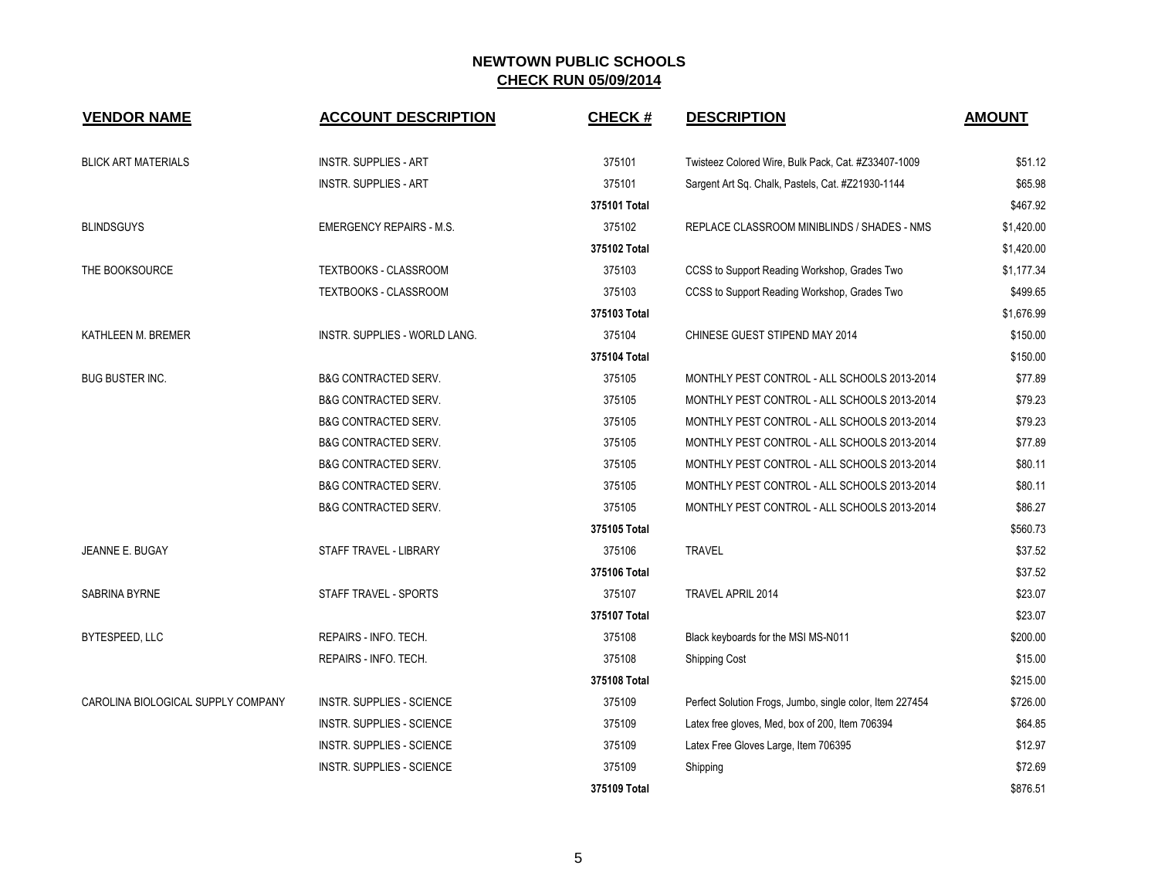| <b>VENDOR NAME</b>                 | <b>ACCOUNT DESCRIPTION</b>       | <b>CHECK#</b> | <b>DESCRIPTION</b>                                       | <b>AMOUNT</b> |
|------------------------------------|----------------------------------|---------------|----------------------------------------------------------|---------------|
| <b>BLICK ART MATERIALS</b>         | <b>INSTR. SUPPLIES - ART</b>     | 375101        | Twisteez Colored Wire, Bulk Pack, Cat. #Z33407-1009      | \$51.12       |
|                                    | <b>INSTR. SUPPLIES - ART</b>     | 375101        | Sargent Art Sq. Chalk, Pastels, Cat. #Z21930-1144        | \$65.98       |
|                                    |                                  | 375101 Total  |                                                          | \$467.92      |
| <b>BLINDSGUYS</b>                  | <b>EMERGENCY REPAIRS - M.S.</b>  | 375102        | REPLACE CLASSROOM MINIBLINDS / SHADES - NMS              | \$1,420.00    |
|                                    |                                  | 375102 Total  |                                                          | \$1,420.00    |
| THE BOOKSOURCE                     | TEXTBOOKS - CLASSROOM            | 375103        | CCSS to Support Reading Workshop, Grades Two             | \$1,177.34    |
|                                    | TEXTBOOKS - CLASSROOM            | 375103        | CCSS to Support Reading Workshop, Grades Two             | \$499.65      |
|                                    |                                  | 375103 Total  |                                                          | \$1,676.99    |
| KATHLEEN M. BREMER                 | INSTR. SUPPLIES - WORLD LANG.    | 375104        | CHINESE GUEST STIPEND MAY 2014                           | \$150.00      |
|                                    |                                  | 375104 Total  |                                                          | \$150.00      |
| <b>BUG BUSTER INC.</b>             | <b>B&amp;G CONTRACTED SERV.</b>  | 375105        | MONTHLY PEST CONTROL - ALL SCHOOLS 2013-2014             | \$77.89       |
|                                    | <b>B&amp;G CONTRACTED SERV.</b>  | 375105        | MONTHLY PEST CONTROL - ALL SCHOOLS 2013-2014             | \$79.23       |
|                                    | B&G CONTRACTED SERV.             | 375105        | MONTHLY PEST CONTROL - ALL SCHOOLS 2013-2014             | \$79.23       |
|                                    | <b>B&amp;G CONTRACTED SERV.</b>  | 375105        | MONTHLY PEST CONTROL - ALL SCHOOLS 2013-2014             | \$77.89       |
|                                    | <b>B&amp;G CONTRACTED SERV.</b>  | 375105        | MONTHLY PEST CONTROL - ALL SCHOOLS 2013-2014             | \$80.11       |
|                                    | <b>B&amp;G CONTRACTED SERV.</b>  | 375105        | MONTHLY PEST CONTROL - ALL SCHOOLS 2013-2014             | \$80.11       |
|                                    | <b>B&amp;G CONTRACTED SERV.</b>  | 375105        | MONTHLY PEST CONTROL - ALL SCHOOLS 2013-2014             | \$86.27       |
|                                    |                                  | 375105 Total  |                                                          | \$560.73      |
| JEANNE E. BUGAY                    | STAFF TRAVEL - LIBRARY           | 375106        | <b>TRAVEL</b>                                            | \$37.52       |
|                                    |                                  | 375106 Total  |                                                          | \$37.52       |
| <b>SABRINA BYRNE</b>               | STAFF TRAVEL - SPORTS            | 375107        | TRAVEL APRIL 2014                                        | \$23.07       |
|                                    |                                  | 375107 Total  |                                                          | \$23.07       |
| BYTESPEED, LLC                     | REPAIRS - INFO. TECH.            | 375108        | Black keyboards for the MSI MS-N011                      | \$200.00      |
|                                    | REPAIRS - INFO. TECH.            | 375108        | Shipping Cost                                            | \$15.00       |
|                                    |                                  | 375108 Total  |                                                          | \$215.00      |
| CAROLINA BIOLOGICAL SUPPLY COMPANY | <b>INSTR. SUPPLIES - SCIENCE</b> | 375109        | Perfect Solution Frogs, Jumbo, single color, Item 227454 | \$726.00      |
|                                    | INSTR. SUPPLIES - SCIENCE        | 375109        | Latex free gloves, Med, box of 200, Item 706394          | \$64.85       |
|                                    | <b>INSTR. SUPPLIES - SCIENCE</b> | 375109        | Latex Free Gloves Large, Item 706395                     | \$12.97       |
|                                    | <b>INSTR. SUPPLIES - SCIENCE</b> | 375109        | Shipping                                                 | \$72.69       |
|                                    |                                  | 375109 Total  |                                                          | \$876.51      |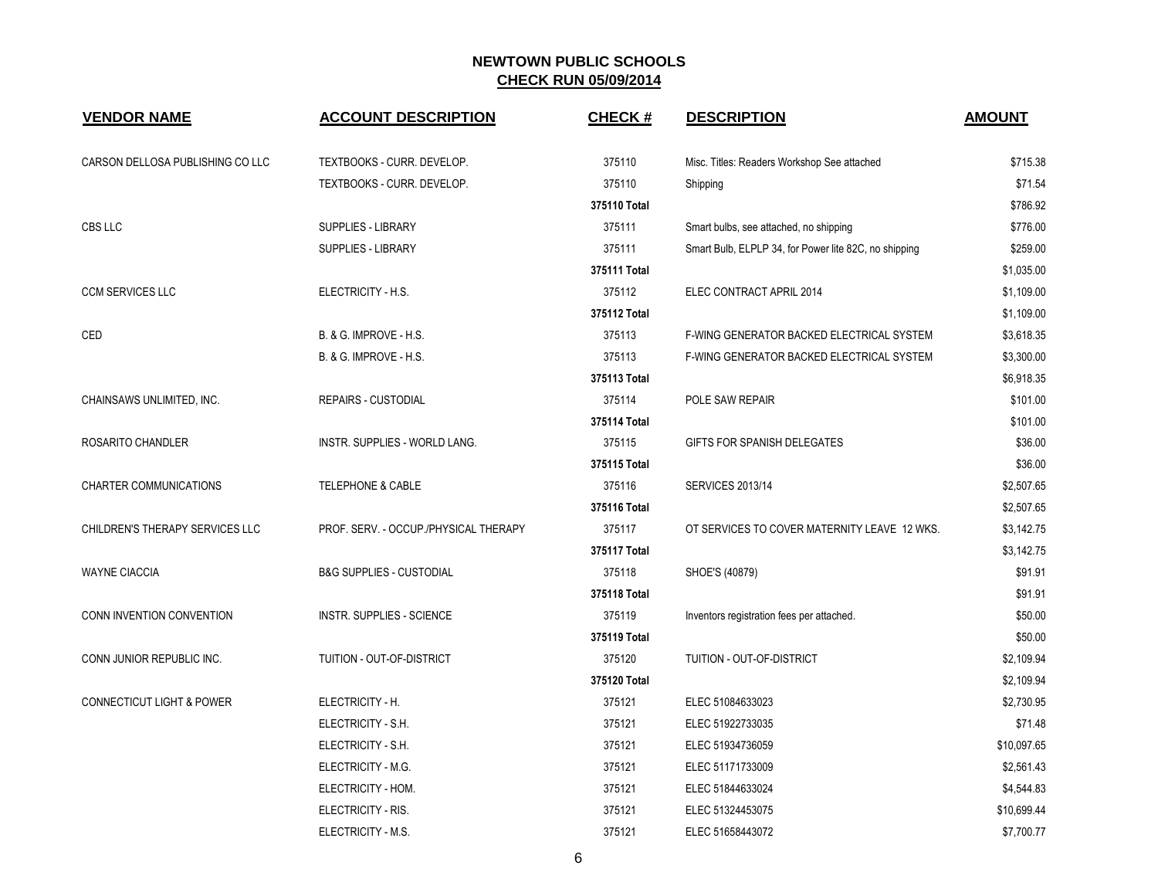| <b>VENDOR NAME</b>                   | <b>ACCOUNT DESCRIPTION</b>            | CHECK#       | <b>DESCRIPTION</b>                                    | <b>AMOUNT</b> |
|--------------------------------------|---------------------------------------|--------------|-------------------------------------------------------|---------------|
| CARSON DELLOSA PUBLISHING CO LLC     | TEXTBOOKS - CURR. DEVELOP.            | 375110       | Misc. Titles: Readers Workshop See attached           | \$715.38      |
|                                      | TEXTBOOKS - CURR. DEVELOP.            | 375110       | Shipping                                              | \$71.54       |
|                                      |                                       | 375110 Total |                                                       | \$786.92      |
| CBS LLC                              | SUPPLIES - LIBRARY                    | 375111       | Smart bulbs, see attached, no shipping                | \$776.00      |
|                                      | SUPPLIES - LIBRARY                    | 375111       | Smart Bulb, ELPLP 34, for Power lite 82C, no shipping | \$259.00      |
|                                      |                                       | 375111 Total |                                                       | \$1,035.00    |
| <b>CCM SERVICES LLC</b>              | ELECTRICITY - H.S.                    | 375112       | ELEC CONTRACT APRIL 2014                              | \$1,109.00    |
|                                      |                                       | 375112 Total |                                                       | \$1,109.00    |
| CED                                  | B. & G. IMPROVE - H.S.                | 375113       | F-WING GENERATOR BACKED ELECTRICAL SYSTEM             | \$3,618.35    |
|                                      | B. & G. IMPROVE - H.S.                | 375113       | F-WING GENERATOR BACKED ELECTRICAL SYSTEM             | \$3,300.00    |
|                                      |                                       | 375113 Total |                                                       | \$6,918.35    |
| CHAINSAWS UNLIMITED, INC.            | <b>REPAIRS - CUSTODIAL</b>            | 375114       | POLE SAW REPAIR                                       | \$101.00      |
|                                      |                                       | 375114 Total |                                                       | \$101.00      |
| ROSARITO CHANDLER                    | INSTR. SUPPLIES - WORLD LANG.         | 375115       | GIFTS FOR SPANISH DELEGATES                           | \$36.00       |
|                                      |                                       | 375115 Total |                                                       | \$36.00       |
| <b>CHARTER COMMUNICATIONS</b>        | TELEPHONE & CABLE                     | 375116       | <b>SERVICES 2013/14</b>                               | \$2,507.65    |
|                                      |                                       | 375116 Total |                                                       | \$2,507.65    |
| CHILDREN'S THERAPY SERVICES LLC      | PROF. SERV. - OCCUP./PHYSICAL THERAPY | 375117       | OT SERVICES TO COVER MATERNITY LEAVE 12 WKS.          | \$3,142.75    |
|                                      |                                       | 375117 Total |                                                       | \$3,142.75    |
| <b>WAYNE CIACCIA</b>                 | <b>B&amp;G SUPPLIES - CUSTODIAL</b>   | 375118       | SHOE'S (40879)                                        | \$91.91       |
|                                      |                                       | 375118 Total |                                                       | \$91.91       |
| CONN INVENTION CONVENTION            | <b>INSTR. SUPPLIES - SCIENCE</b>      | 375119       | Inventors registration fees per attached.             | \$50.00       |
|                                      |                                       | 375119 Total |                                                       | \$50.00       |
| CONN JUNIOR REPUBLIC INC.            | TUITION - OUT-OF-DISTRICT             | 375120       | TUITION - OUT-OF-DISTRICT                             | \$2,109.94    |
|                                      |                                       | 375120 Total |                                                       | \$2,109.94    |
| <b>CONNECTICUT LIGHT &amp; POWER</b> | ELECTRICITY - H.                      | 375121       | ELEC 51084633023                                      | \$2,730.95    |
|                                      | ELECTRICITY - S.H.                    | 375121       | ELEC 51922733035                                      | \$71.48       |
|                                      | ELECTRICITY - S.H.                    | 375121       | ELEC 51934736059                                      | \$10,097.65   |
|                                      | ELECTRICITY - M.G.                    | 375121       | ELEC 51171733009                                      | \$2,561.43    |
|                                      | ELECTRICITY - HOM.                    | 375121       | ELEC 51844633024                                      | \$4,544.83    |
|                                      | ELECTRICITY - RIS.                    | 375121       | ELEC 51324453075                                      | \$10,699.44   |
|                                      | ELECTRICITY - M.S.                    | 375121       | ELEC 51658443072                                      | \$7,700.77    |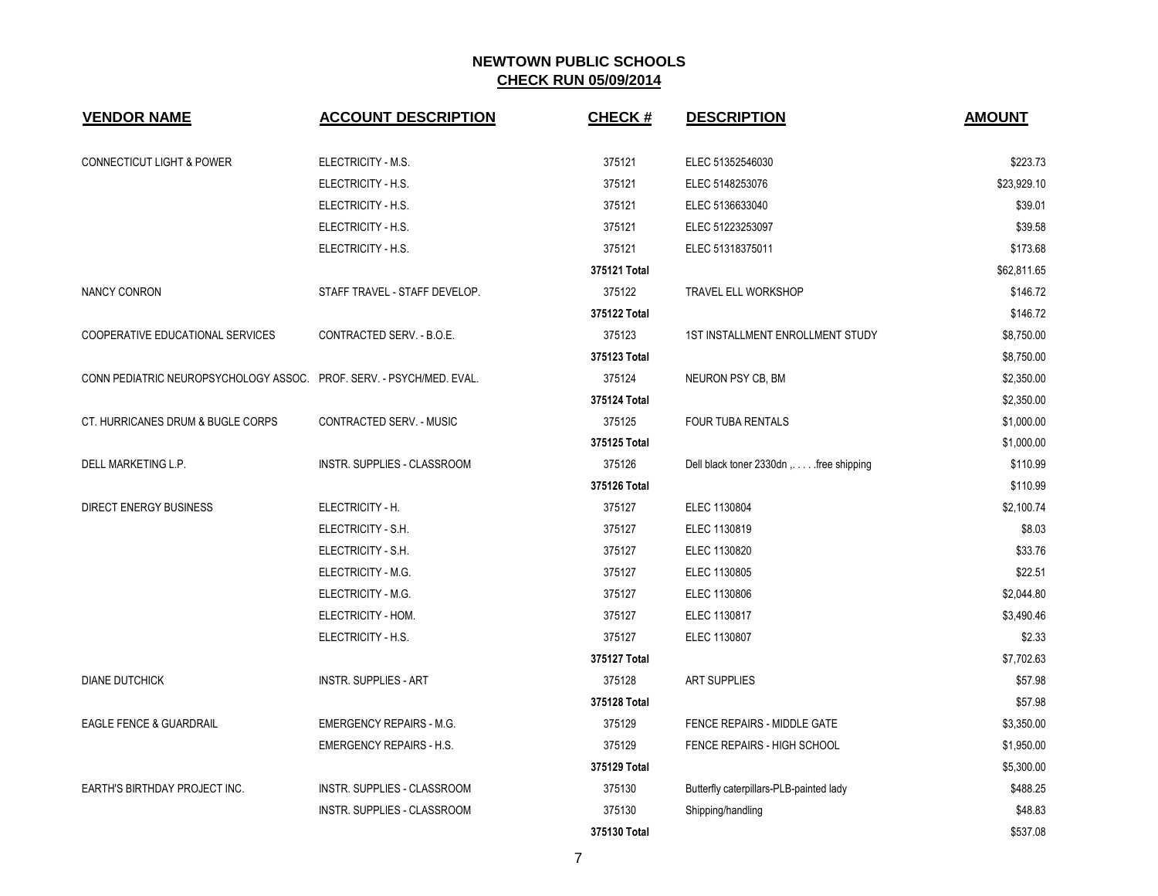| <b>VENDOR NAME</b>                                                   | <b>ACCOUNT DESCRIPTION</b>      | <b>CHECK#</b> | <b>DESCRIPTION</b>                      | <b>AMOUNT</b> |
|----------------------------------------------------------------------|---------------------------------|---------------|-----------------------------------------|---------------|
| <b>CONNECTICUT LIGHT &amp; POWER</b>                                 | ELECTRICITY - M.S.              | 375121        | ELEC 51352546030                        | \$223.73      |
|                                                                      | ELECTRICITY - H.S.              | 375121        | ELEC 5148253076                         | \$23.929.10   |
|                                                                      | ELECTRICITY - H.S.              | 375121        | ELEC 5136633040                         | \$39.01       |
|                                                                      | ELECTRICITY - H.S.              | 375121        | ELEC 51223253097                        | \$39.58       |
|                                                                      | ELECTRICITY - H.S.              | 375121        | ELEC 51318375011                        | \$173.68      |
|                                                                      |                                 | 375121 Total  |                                         | \$62,811.65   |
| NANCY CONRON                                                         | STAFF TRAVEL - STAFF DEVELOP.   | 375122        | <b>TRAVEL ELL WORKSHOP</b>              | \$146.72      |
|                                                                      |                                 | 375122 Total  |                                         | \$146.72      |
| COOPERATIVE EDUCATIONAL SERVICES                                     | CONTRACTED SERV. - B.O.E.       | 375123        | <b>1ST INSTALLMENT ENROLLMENT STUDY</b> | \$8,750.00    |
|                                                                      |                                 | 375123 Total  |                                         | \$8,750.00    |
| CONN PEDIATRIC NEUROPSYCHOLOGY ASSOC. PROF. SERV. - PSYCH/MED. EVAL. |                                 | 375124        | NEURON PSY CB, BM                       | \$2,350.00    |
|                                                                      |                                 | 375124 Total  |                                         | \$2,350.00    |
| CT. HURRICANES DRUM & BUGLE CORPS                                    | <b>CONTRACTED SERV. - MUSIC</b> | 375125        | <b>FOUR TUBA RENTALS</b>                | \$1,000.00    |
|                                                                      |                                 | 375125 Total  |                                         | \$1,000.00    |
| DELL MARKETING L.P.                                                  | INSTR. SUPPLIES - CLASSROOM     | 375126        | Dell black toner 2330dn,  free shipping | \$110.99      |
|                                                                      |                                 | 375126 Total  |                                         | \$110.99      |
| <b>DIRECT ENERGY BUSINESS</b>                                        | ELECTRICITY - H.                | 375127        | ELEC 1130804                            | \$2,100.74    |
|                                                                      | ELECTRICITY - S.H.              | 375127        | ELEC 1130819                            | \$8.03        |
|                                                                      | ELECTRICITY - S.H.              | 375127        | ELEC 1130820                            | \$33.76       |
|                                                                      | ELECTRICITY - M.G.              | 375127        | ELEC 1130805                            | \$22.51       |
|                                                                      | ELECTRICITY - M.G.              | 375127        | ELEC 1130806                            | \$2,044.80    |
|                                                                      | ELECTRICITY - HOM.              | 375127        | ELEC 1130817                            | \$3,490.46    |
|                                                                      | ELECTRICITY - H.S.              | 375127        | ELEC 1130807                            | \$2.33        |
|                                                                      |                                 | 375127 Total  |                                         | \$7,702.63    |
| <b>DIANE DUTCHICK</b>                                                | INSTR. SUPPLIES - ART           | 375128        | <b>ART SUPPLIES</b>                     | \$57.98       |
|                                                                      |                                 | 375128 Total  |                                         | \$57.98       |
| EAGLE FENCE & GUARDRAIL                                              | <b>EMERGENCY REPAIRS - M.G.</b> | 375129        | FENCE REPAIRS - MIDDLE GATE             | \$3,350.00    |
|                                                                      | <b>EMERGENCY REPAIRS - H.S.</b> | 375129        | <b>FENCE REPAIRS - HIGH SCHOOL</b>      | \$1,950.00    |
|                                                                      |                                 | 375129 Total  |                                         | \$5,300.00    |
| EARTH'S BIRTHDAY PROJECT INC.                                        | INSTR. SUPPLIES - CLASSROOM     | 375130        | Butterfly caterpillars-PLB-painted lady | \$488.25      |
|                                                                      | INSTR. SUPPLIES - CLASSROOM     | 375130        | Shipping/handling                       | \$48.83       |
|                                                                      |                                 | 375130 Total  |                                         | \$537.08      |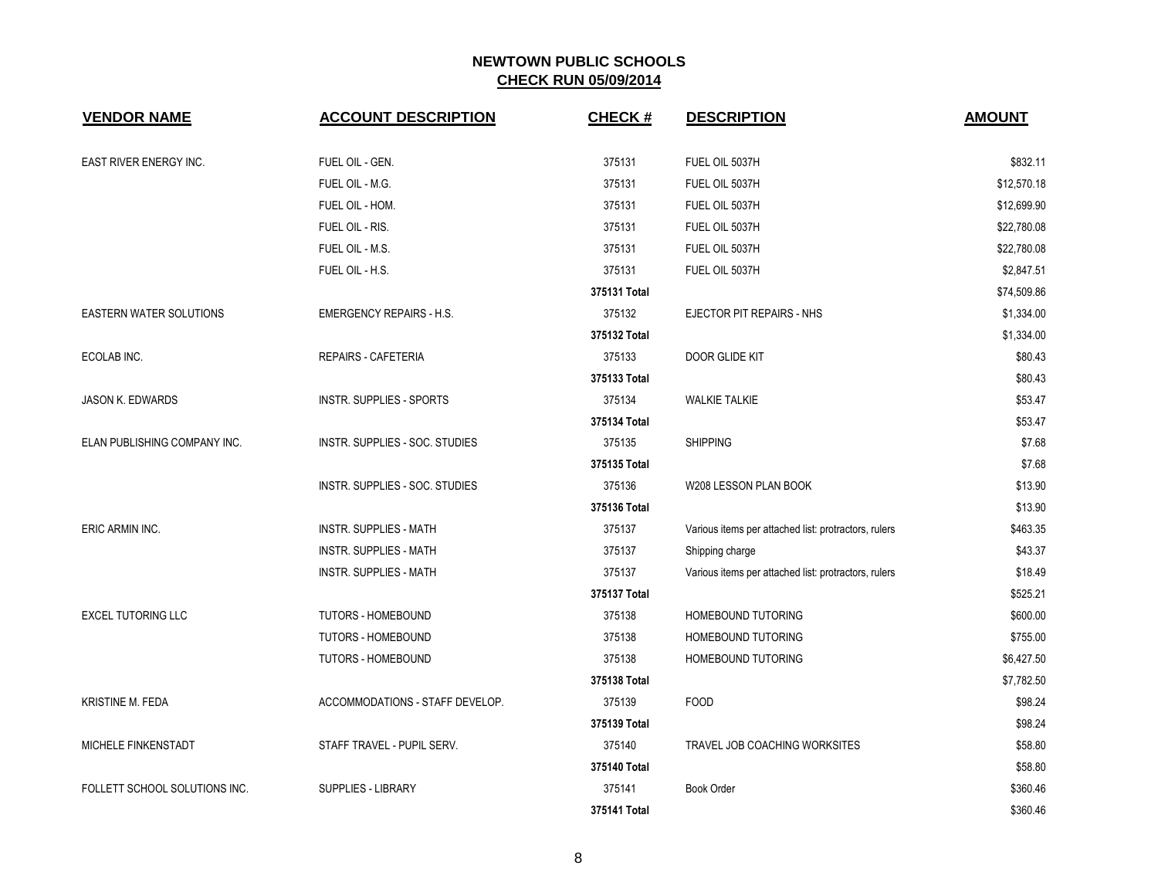| <b>VENDOR NAME</b>             | <b>ACCOUNT DESCRIPTION</b>      | <b>CHECK#</b> | <b>DESCRIPTION</b>                                   | <b>AMOUNT</b> |
|--------------------------------|---------------------------------|---------------|------------------------------------------------------|---------------|
| EAST RIVER ENERGY INC.         | FUEL OIL - GEN.                 | 375131        | FUEL OIL 5037H                                       | \$832.11      |
|                                | FUEL OIL - M.G.                 | 375131        | FUEL OIL 5037H                                       | \$12,570.18   |
|                                | FUEL OIL - HOM.                 | 375131        | FUEL OIL 5037H                                       | \$12,699.90   |
|                                | FUEL OIL - RIS.                 | 375131        | FUEL OIL 5037H                                       | \$22,780.08   |
|                                | FUEL OIL - M.S.                 | 375131        | FUEL OIL 5037H                                       | \$22,780.08   |
|                                | FUEL OIL - H.S.                 | 375131        | FUEL OIL 5037H                                       | \$2,847.51    |
|                                |                                 | 375131 Total  |                                                      | \$74,509.86   |
| <b>EASTERN WATER SOLUTIONS</b> | <b>EMERGENCY REPAIRS - H.S.</b> | 375132        | EJECTOR PIT REPAIRS - NHS                            | \$1,334.00    |
|                                |                                 | 375132 Total  |                                                      | \$1,334.00    |
| ECOLAB INC.                    | REPAIRS - CAFETERIA             | 375133        | DOOR GLIDE KIT                                       | \$80.43       |
|                                |                                 | 375133 Total  |                                                      | \$80.43       |
| <b>JASON K. EDWARDS</b>        | INSTR. SUPPLIES - SPORTS        | 375134        | <b>WALKIE TALKIE</b>                                 | \$53.47       |
|                                |                                 | 375134 Total  |                                                      | \$53.47       |
| ELAN PUBLISHING COMPANY INC.   | INSTR. SUPPLIES - SOC. STUDIES  | 375135        | <b>SHIPPING</b>                                      | \$7.68        |
|                                |                                 | 375135 Total  |                                                      | \$7.68        |
|                                | INSTR. SUPPLIES - SOC. STUDIES  | 375136        | W208 LESSON PLAN BOOK                                | \$13.90       |
|                                |                                 | 375136 Total  |                                                      | \$13.90       |
| ERIC ARMIN INC.                | <b>INSTR. SUPPLIES - MATH</b>   | 375137        | Various items per attached list: protractors, rulers | \$463.35      |
|                                | <b>INSTR. SUPPLIES - MATH</b>   | 375137        | Shipping charge                                      | \$43.37       |
|                                | <b>INSTR. SUPPLIES - MATH</b>   | 375137        | Various items per attached list: protractors, rulers | \$18.49       |
|                                |                                 | 375137 Total  |                                                      | \$525.21      |
| <b>EXCEL TUTORING LLC</b>      | TUTORS - HOMEBOUND              | 375138        | HOMEBOUND TUTORING                                   | \$600.00      |
|                                | <b>TUTORS - HOMEBOUND</b>       | 375138        | HOMEBOUND TUTORING                                   | \$755.00      |
|                                | TUTORS - HOMEBOUND              | 375138        | HOMEBOUND TUTORING                                   | \$6,427.50    |
|                                |                                 | 375138 Total  |                                                      | \$7,782.50    |
| <b>KRISTINE M. FEDA</b>        | ACCOMMODATIONS - STAFF DEVELOP. | 375139        | <b>FOOD</b>                                          | \$98.24       |
|                                |                                 | 375139 Total  |                                                      | \$98.24       |
| MICHELE FINKENSTADT            | STAFF TRAVEL - PUPIL SERV.      | 375140        | TRAVEL JOB COACHING WORKSITES                        | \$58.80       |
|                                |                                 | 375140 Total  |                                                      | \$58.80       |
| FOLLETT SCHOOL SOLUTIONS INC.  | SUPPLIES - LIBRARY              | 375141        | <b>Book Order</b>                                    | \$360.46      |
|                                |                                 | 375141 Total  |                                                      | \$360.46      |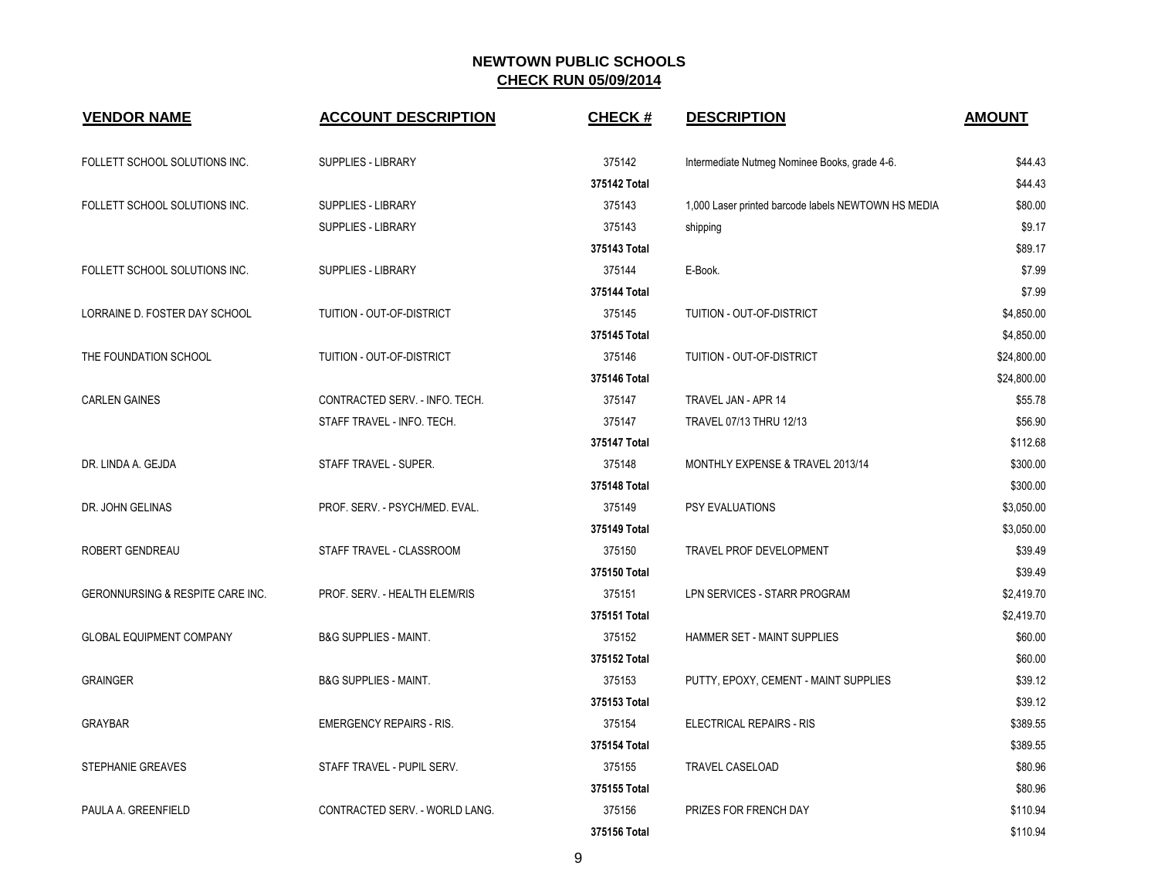| <b>VENDOR NAME</b>               | <b>ACCOUNT DESCRIPTION</b>       | <b>CHECK#</b> | <b>DESCRIPTION</b>                                  | <b>AMOUNT</b> |
|----------------------------------|----------------------------------|---------------|-----------------------------------------------------|---------------|
| FOLLETT SCHOOL SOLUTIONS INC.    | SUPPLIES - LIBRARY               | 375142        | Intermediate Nutmeg Nominee Books, grade 4-6.       | \$44.43       |
|                                  |                                  | 375142 Total  |                                                     | \$44.43       |
| FOLLETT SCHOOL SOLUTIONS INC.    | <b>SUPPLIES - LIBRARY</b>        | 375143        | 1,000 Laser printed barcode labels NEWTOWN HS MEDIA | \$80.00       |
|                                  | <b>SUPPLIES - LIBRARY</b>        | 375143        | shipping                                            | \$9.17        |
|                                  |                                  | 375143 Total  |                                                     | \$89.17       |
| FOLLETT SCHOOL SOLUTIONS INC.    | <b>SUPPLIES - LIBRARY</b>        | 375144        | E-Book.                                             | \$7.99        |
|                                  |                                  | 375144 Total  |                                                     | \$7.99        |
| LORRAINE D. FOSTER DAY SCHOOL    | TUITION - OUT-OF-DISTRICT        | 375145        | TUITION - OUT-OF-DISTRICT                           | \$4,850.00    |
|                                  |                                  | 375145 Total  |                                                     | \$4,850.00    |
| THE FOUNDATION SCHOOL            | TUITION - OUT-OF-DISTRICT        | 375146        | TUITION - OUT-OF-DISTRICT                           | \$24,800.00   |
|                                  |                                  | 375146 Total  |                                                     | \$24,800.00   |
| <b>CARLEN GAINES</b>             | CONTRACTED SERV. - INFO. TECH.   | 375147        | TRAVEL JAN - APR 14                                 | \$55.78       |
|                                  | STAFF TRAVEL - INFO. TECH.       | 375147        | TRAVEL 07/13 THRU 12/13                             | \$56.90       |
|                                  |                                  | 375147 Total  |                                                     | \$112.68      |
| DR. LINDA A. GEJDA               | STAFF TRAVEL - SUPER.            | 375148        | MONTHLY EXPENSE & TRAVEL 2013/14                    | \$300.00      |
|                                  |                                  | 375148 Total  |                                                     | \$300.00      |
| DR. JOHN GELINAS                 | PROF. SERV. - PSYCH/MED. EVAL.   | 375149        | PSY EVALUATIONS                                     | \$3,050.00    |
|                                  |                                  | 375149 Total  |                                                     | \$3,050.00    |
| ROBERT GENDREAU                  | STAFF TRAVEL - CLASSROOM         | 375150        | TRAVEL PROF DEVELOPMENT                             | \$39.49       |
|                                  |                                  | 375150 Total  |                                                     | \$39.49       |
| GERONNURSING & RESPITE CARE INC. | PROF. SERV. - HEALTH ELEM/RIS    | 375151        | LPN SERVICES - STARR PROGRAM                        | \$2,419.70    |
|                                  |                                  | 375151 Total  |                                                     | \$2,419.70    |
| <b>GLOBAL EQUIPMENT COMPANY</b>  | <b>B&amp;G SUPPLIES - MAINT.</b> | 375152        | HAMMER SET - MAINT SUPPLIES                         | \$60.00       |
|                                  |                                  | 375152 Total  |                                                     | \$60.00       |
| <b>GRAINGER</b>                  | <b>B&amp;G SUPPLIES - MAINT.</b> | 375153        | PUTTY, EPOXY, CEMENT - MAINT SUPPLIES               | \$39.12       |
|                                  |                                  | 375153 Total  |                                                     | \$39.12       |
| GRAYBAR                          | <b>EMERGENCY REPAIRS - RIS.</b>  | 375154        | ELECTRICAL REPAIRS - RIS                            | \$389.55      |
|                                  |                                  | 375154 Total  |                                                     | \$389.55      |
| <b>STEPHANIE GREAVES</b>         | STAFF TRAVEL - PUPIL SERV.       | 375155        | <b>TRAVEL CASELOAD</b>                              | \$80.96       |
|                                  |                                  | 375155 Total  |                                                     | \$80.96       |
| PAULA A. GREENFIELD              | CONTRACTED SERV. - WORLD LANG.   | 375156        | PRIZES FOR FRENCH DAY                               | \$110.94      |
|                                  |                                  | 375156 Total  |                                                     | \$110.94      |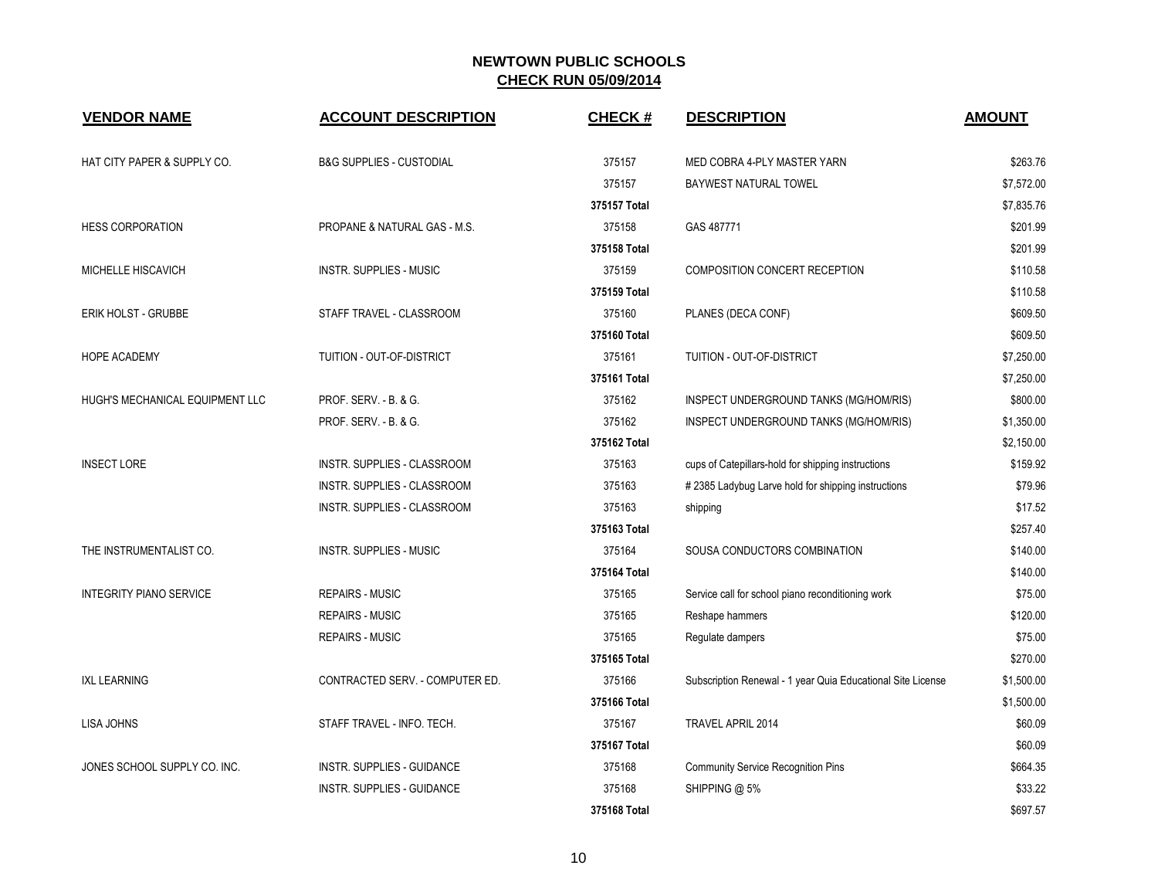| <b>VENDOR NAME</b>              | <b>ACCOUNT DESCRIPTION</b>          | CHECK#       | <b>DESCRIPTION</b>                                          | <b>AMOUNT</b> |
|---------------------------------|-------------------------------------|--------------|-------------------------------------------------------------|---------------|
| HAT CITY PAPER & SUPPLY CO.     | <b>B&amp;G SUPPLIES - CUSTODIAL</b> | 375157       | MED COBRA 4-PLY MASTER YARN                                 | \$263.76      |
|                                 |                                     | 375157       | BAYWEST NATURAL TOWEL                                       | \$7,572.00    |
|                                 |                                     | 375157 Total |                                                             | \$7,835.76    |
| <b>HESS CORPORATION</b>         | PROPANE & NATURAL GAS - M.S.        | 375158       | GAS 487771                                                  | \$201.99      |
|                                 |                                     | 375158 Total |                                                             | \$201.99      |
| MICHELLE HISCAVICH              | INSTR. SUPPLIES - MUSIC             | 375159       | COMPOSITION CONCERT RECEPTION                               | \$110.58      |
|                                 |                                     | 375159 Total |                                                             | \$110.58      |
| <b>ERIK HOLST - GRUBBE</b>      | STAFF TRAVEL - CLASSROOM            | 375160       | PLANES (DECA CONF)                                          | \$609.50      |
|                                 |                                     | 375160 Total |                                                             | \$609.50      |
| <b>HOPE ACADEMY</b>             | TUITION - OUT-OF-DISTRICT           | 375161       | TUITION - OUT-OF-DISTRICT                                   | \$7,250.00    |
|                                 |                                     | 375161 Total |                                                             | \$7,250.00    |
| HUGH'S MECHANICAL EQUIPMENT LLC | PROF. SERV. - B. & G.               | 375162       | INSPECT UNDERGROUND TANKS (MG/HOM/RIS)                      | \$800.00      |
|                                 | PROF. SERV. - B. & G.               | 375162       | INSPECT UNDERGROUND TANKS (MG/HOM/RIS)                      | \$1,350.00    |
|                                 |                                     | 375162 Total |                                                             | \$2,150.00    |
| <b>INSECT LORE</b>              | <b>INSTR. SUPPLIES - CLASSROOM</b>  | 375163       | cups of Catepillars-hold for shipping instructions          | \$159.92      |
|                                 | INSTR. SUPPLIES - CLASSROOM         | 375163       | #2385 Ladybug Larve hold for shipping instructions          | \$79.96       |
|                                 | INSTR. SUPPLIES - CLASSROOM         | 375163       | shipping                                                    | \$17.52       |
|                                 |                                     | 375163 Total |                                                             | \$257.40      |
| THE INSTRUMENTALIST CO.         | <b>INSTR. SUPPLIES - MUSIC</b>      | 375164       | SOUSA CONDUCTORS COMBINATION                                | \$140.00      |
|                                 |                                     | 375164 Total |                                                             | \$140.00      |
| <b>INTEGRITY PIANO SERVICE</b>  | REPAIRS - MUSIC                     | 375165       | Service call for school piano reconditioning work           | \$75.00       |
|                                 | <b>REPAIRS - MUSIC</b>              | 375165       | Reshape hammers                                             | \$120.00      |
|                                 | <b>REPAIRS - MUSIC</b>              | 375165       | Regulate dampers                                            | \$75.00       |
|                                 |                                     | 375165 Total |                                                             | \$270.00      |
| <b>IXL LEARNING</b>             | CONTRACTED SERV. - COMPUTER ED.     | 375166       | Subscription Renewal - 1 year Quia Educational Site License | \$1,500.00    |
|                                 |                                     | 375166 Total |                                                             | \$1,500.00    |
| <b>LISA JOHNS</b>               | STAFF TRAVEL - INFO. TECH.          | 375167       | TRAVEL APRIL 2014                                           | \$60.09       |
|                                 |                                     | 375167 Total |                                                             | \$60.09       |
| JONES SCHOOL SUPPLY CO. INC.    | INSTR. SUPPLIES - GUIDANCE          | 375168       | <b>Community Service Recognition Pins</b>                   | \$664.35      |
|                                 | <b>INSTR. SUPPLIES - GUIDANCE</b>   | 375168       | SHIPPING @ 5%                                               | \$33.22       |
|                                 |                                     | 375168 Total |                                                             | \$697.57      |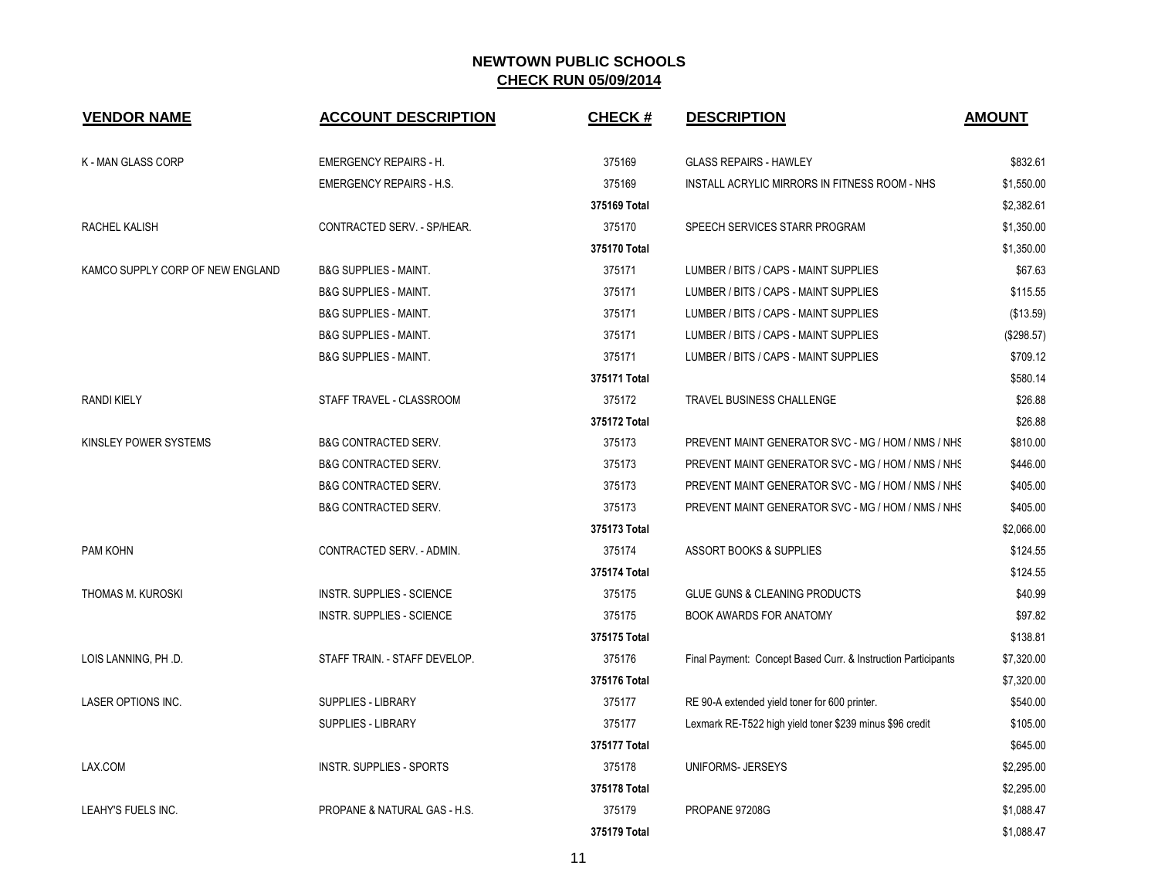| <b>VENDOR NAME</b>               | <b>ACCOUNT DESCRIPTION</b>       | <b>CHECK#</b> | <b>DESCRIPTION</b>                                            | <b>AMOUNT</b> |
|----------------------------------|----------------------------------|---------------|---------------------------------------------------------------|---------------|
| K - MAN GLASS CORP               | <b>EMERGENCY REPAIRS - H.</b>    | 375169        | <b>GLASS REPAIRS - HAWLEY</b>                                 | \$832.61      |
|                                  | <b>EMERGENCY REPAIRS - H.S.</b>  | 375169        | INSTALL ACRYLIC MIRRORS IN FITNESS ROOM - NHS                 | \$1,550.00    |
|                                  |                                  | 375169 Total  |                                                               | \$2,382.61    |
| RACHEL KALISH                    | CONTRACTED SERV. - SP/HEAR.      | 375170        | SPEECH SERVICES STARR PROGRAM                                 | \$1,350.00    |
|                                  |                                  | 375170 Total  |                                                               | \$1,350.00    |
| KAMCO SUPPLY CORP OF NEW ENGLAND | <b>B&amp;G SUPPLIES - MAINT.</b> | 375171        | LUMBER / BITS / CAPS - MAINT SUPPLIES                         | \$67.63       |
|                                  | <b>B&amp;G SUPPLIES - MAINT.</b> | 375171        | LUMBER / BITS / CAPS - MAINT SUPPLIES                         | \$115.55      |
|                                  | <b>B&amp;G SUPPLIES - MAINT.</b> | 375171        | LUMBER / BITS / CAPS - MAINT SUPPLIES                         | (\$13.59)     |
|                                  | <b>B&amp;G SUPPLIES - MAINT.</b> | 375171        | LUMBER / BITS / CAPS - MAINT SUPPLIES                         | (\$298.57)    |
|                                  | <b>B&amp;G SUPPLIES - MAINT.</b> | 375171        | LUMBER / BITS / CAPS - MAINT SUPPLIES                         | \$709.12      |
|                                  |                                  | 375171 Total  |                                                               | \$580.14      |
| <b>RANDI KIELY</b>               | STAFF TRAVEL - CLASSROOM         | 375172        | TRAVEL BUSINESS CHALLENGE                                     | \$26.88       |
|                                  |                                  | 375172 Total  |                                                               | \$26.88       |
| KINSLEY POWER SYSTEMS            | <b>B&amp;G CONTRACTED SERV.</b>  | 375173        | PREVENT MAINT GENERATOR SVC - MG / HOM / NMS / NHS            | \$810.00      |
|                                  | <b>B&amp;G CONTRACTED SERV.</b>  | 375173        | PREVENT MAINT GENERATOR SVC - MG / HOM / NMS / NHS            | \$446.00      |
|                                  | <b>B&amp;G CONTRACTED SERV.</b>  | 375173        | PREVENT MAINT GENERATOR SVC - MG / HOM / NMS / NHS            | \$405.00      |
|                                  | <b>B&amp;G CONTRACTED SERV.</b>  | 375173        | PREVENT MAINT GENERATOR SVC - MG / HOM / NMS / NHS            | \$405.00      |
|                                  |                                  | 375173 Total  |                                                               | \$2,066.00    |
| PAM KOHN                         | CONTRACTED SERV. - ADMIN.        | 375174        | <b>ASSORT BOOKS &amp; SUPPLIES</b>                            | \$124.55      |
|                                  |                                  | 375174 Total  |                                                               | \$124.55      |
| THOMAS M. KUROSKI                | INSTR. SUPPLIES - SCIENCE        | 375175        | <b>GLUE GUNS &amp; CLEANING PRODUCTS</b>                      | \$40.99       |
|                                  | INSTR. SUPPLIES - SCIENCE        | 375175        | <b>BOOK AWARDS FOR ANATOMY</b>                                | \$97.82       |
|                                  |                                  | 375175 Total  |                                                               | \$138.81      |
| LOIS LANNING, PH .D.             | STAFF TRAIN. - STAFF DEVELOP.    | 375176        | Final Payment: Concept Based Curr. & Instruction Participants | \$7,320.00    |
|                                  |                                  | 375176 Total  |                                                               | \$7,320.00    |
| <b>LASER OPTIONS INC.</b>        | <b>SUPPLIES - LIBRARY</b>        | 375177        | RE 90-A extended yield toner for 600 printer.                 | \$540.00      |
|                                  | <b>SUPPLIES - LIBRARY</b>        | 375177        | Lexmark RE-T522 high yield toner \$239 minus \$96 credit      | \$105.00      |
|                                  |                                  | 375177 Total  |                                                               | \$645.00      |
| LAX.COM                          | <b>INSTR. SUPPLIES - SPORTS</b>  | 375178        | UNIFORMS-JERSEYS                                              | \$2,295.00    |
|                                  |                                  | 375178 Total  |                                                               | \$2,295.00    |
| LEAHY'S FUELS INC.               | PROPANE & NATURAL GAS - H.S.     | 375179        | PROPANE 97208G                                                | \$1,088.47    |
|                                  |                                  | 375179 Total  |                                                               | \$1,088.47    |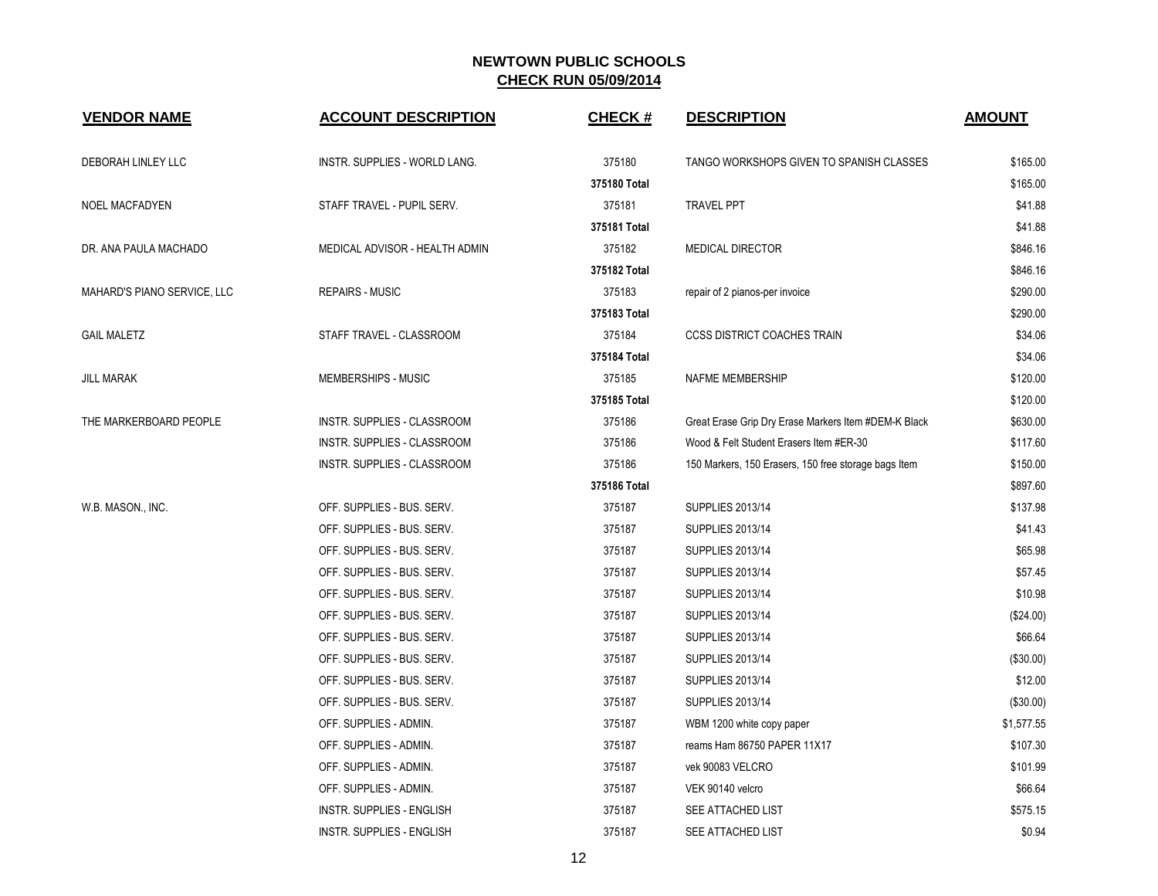| <b>VENDOR NAME</b>          | <b>ACCOUNT DESCRIPTION</b>       | <b>CHECK#</b> | <b>DESCRIPTION</b>                                   | <b>AMOUNT</b> |
|-----------------------------|----------------------------------|---------------|------------------------------------------------------|---------------|
| DEBORAH LINLEY LLC          | INSTR. SUPPLIES - WORLD LANG.    | 375180        | TANGO WORKSHOPS GIVEN TO SPANISH CLASSES             | \$165.00      |
|                             |                                  | 375180 Total  |                                                      | \$165.00      |
| <b>NOEL MACFADYEN</b>       | STAFF TRAVEL - PUPIL SERV.       | 375181        | <b>TRAVEL PPT</b>                                    | \$41.88       |
|                             |                                  | 375181 Total  |                                                      | \$41.88       |
| DR. ANA PAULA MACHADO       | MEDICAL ADVISOR - HEALTH ADMIN   | 375182        | <b>MEDICAL DIRECTOR</b>                              | \$846.16      |
|                             |                                  | 375182 Total  |                                                      | \$846.16      |
| MAHARD'S PIANO SERVICE, LLC | <b>REPAIRS - MUSIC</b>           | 375183        | repair of 2 pianos-per invoice                       | \$290.00      |
|                             |                                  | 375183 Total  |                                                      | \$290.00      |
| <b>GAIL MALETZ</b>          | STAFF TRAVEL - CLASSROOM         | 375184        | <b>CCSS DISTRICT COACHES TRAIN</b>                   | \$34.06       |
|                             |                                  | 375184 Total  |                                                      | \$34.06       |
| <b>JILL MARAK</b>           | MEMBERSHIPS - MUSIC              | 375185        | NAFME MEMBERSHIP                                     | \$120.00      |
|                             |                                  | 375185 Total  |                                                      | \$120.00      |
| THE MARKERBOARD PEOPLE      | INSTR. SUPPLIES - CLASSROOM      | 375186        | Great Erase Grip Dry Erase Markers Item #DEM-K Black | \$630.00      |
|                             | INSTR. SUPPLIES - CLASSROOM      | 375186        | Wood & Felt Student Erasers Item #ER-30              | \$117.60      |
|                             | INSTR. SUPPLIES - CLASSROOM      | 375186        | 150 Markers, 150 Erasers, 150 free storage bags Item | \$150.00      |
|                             |                                  | 375186 Total  |                                                      | \$897.60      |
| W.B. MASON., INC.           | OFF. SUPPLIES - BUS. SERV.       | 375187        | SUPPLIES 2013/14                                     | \$137.98      |
|                             | OFF. SUPPLIES - BUS. SERV.       | 375187        | SUPPLIES 2013/14                                     | \$41.43       |
|                             | OFF. SUPPLIES - BUS. SERV.       | 375187        | SUPPLIES 2013/14                                     | \$65.98       |
|                             | OFF. SUPPLIES - BUS. SERV.       | 375187        | SUPPLIES 2013/14                                     | \$57.45       |
|                             | OFF. SUPPLIES - BUS. SERV.       | 375187        | SUPPLIES 2013/14                                     | \$10.98       |
|                             | OFF. SUPPLIES - BUS. SERV.       | 375187        | SUPPLIES 2013/14                                     | (\$24.00)     |
|                             | OFF. SUPPLIES - BUS. SERV.       | 375187        | SUPPLIES 2013/14                                     | \$66.64       |
|                             | OFF. SUPPLIES - BUS. SERV.       | 375187        | <b>SUPPLIES 2013/14</b>                              | (\$30.00)     |
|                             | OFF. SUPPLIES - BUS. SERV.       | 375187        | <b>SUPPLIES 2013/14</b>                              | \$12.00       |
|                             | OFF. SUPPLIES - BUS. SERV.       | 375187        | <b>SUPPLIES 2013/14</b>                              | (\$30.00)     |
|                             | OFF. SUPPLIES - ADMIN.           | 375187        | WBM 1200 white copy paper                            | \$1,577.55    |
|                             | OFF. SUPPLIES - ADMIN.           | 375187        | reams Ham 86750 PAPER 11X17                          | \$107.30      |
|                             | OFF. SUPPLIES - ADMIN.           | 375187        | vek 90083 VELCRO                                     | \$101.99      |
|                             | OFF. SUPPLIES - ADMIN.           | 375187        | VEK 90140 velcro                                     | \$66.64       |
|                             | <b>INSTR. SUPPLIES - ENGLISH</b> | 375187        | SEE ATTACHED LIST                                    | \$575.15      |
|                             | <b>INSTR. SUPPLIES - ENGLISH</b> | 375187        | SEE ATTACHED LIST                                    | \$0.94        |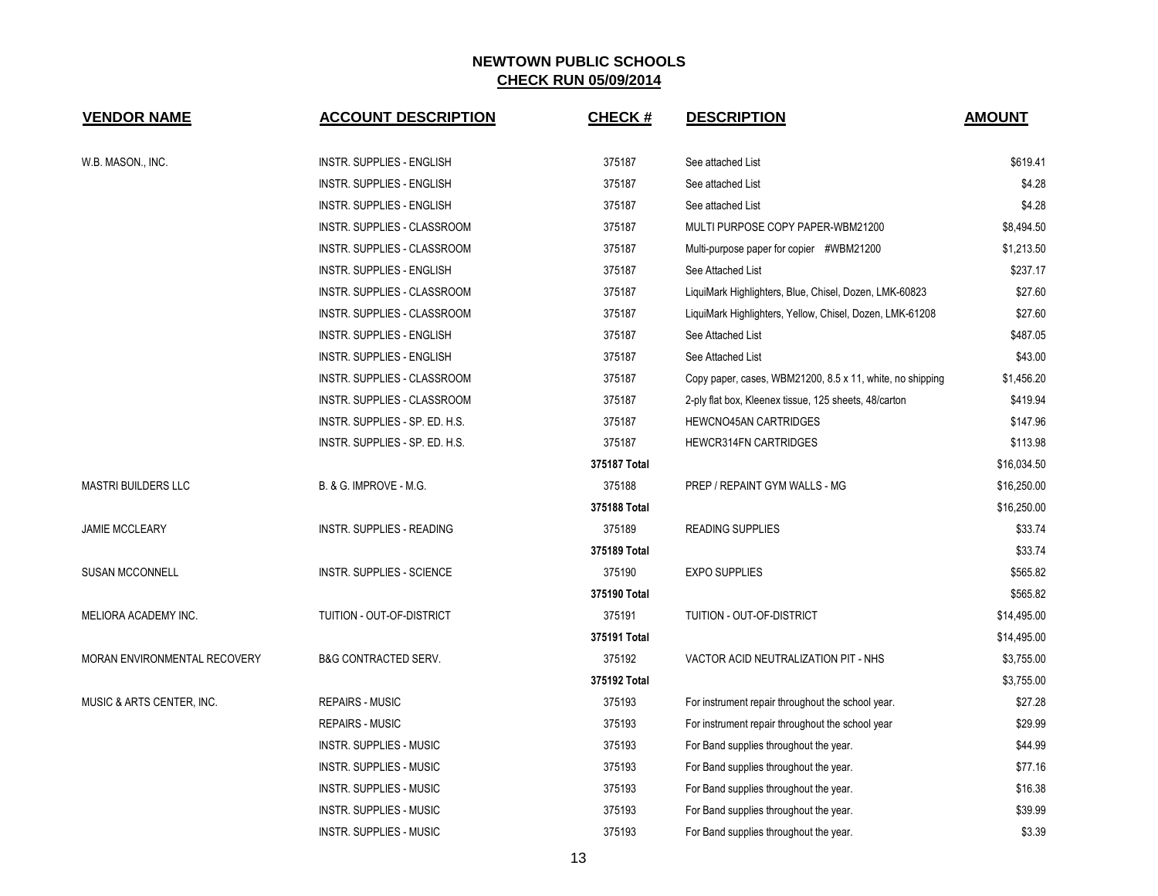| <b>VENDOR NAME</b>           | <b>ACCOUNT DESCRIPTION</b>        | <b>CHECK#</b> | <b>DESCRIPTION</b>                                        | <b>AMOUNT</b> |
|------------------------------|-----------------------------------|---------------|-----------------------------------------------------------|---------------|
| W.B. MASON., INC.            | <b>INSTR. SUPPLIES - ENGLISH</b>  | 375187        | See attached List                                         | \$619.41      |
|                              | <b>INSTR. SUPPLIES - ENGLISH</b>  | 375187        | See attached List                                         | \$4.28        |
|                              | INSTR. SUPPLIES - ENGLISH         | 375187        | See attached List                                         | \$4.28        |
|                              | INSTR. SUPPLIES - CLASSROOM       | 375187        | MULTI PURPOSE COPY PAPER-WBM21200                         | \$8,494.50    |
|                              | INSTR. SUPPLIES - CLASSROOM       | 375187        | Multi-purpose paper for copier #WBM21200                  | \$1,213.50    |
|                              | <b>INSTR. SUPPLIES - ENGLISH</b>  | 375187        | See Attached List                                         | \$237.17      |
|                              | INSTR. SUPPLIES - CLASSROOM       | 375187        | LiquiMark Highlighters, Blue, Chisel, Dozen, LMK-60823    | \$27.60       |
|                              | INSTR. SUPPLIES - CLASSROOM       | 375187        | LiquiMark Highlighters, Yellow, Chisel, Dozen, LMK-61208  | \$27.60       |
|                              | INSTR. SUPPLIES - ENGLISH         | 375187        | See Attached List                                         | \$487.05      |
|                              | <b>INSTR. SUPPLIES - ENGLISH</b>  | 375187        | See Attached List                                         | \$43.00       |
|                              | INSTR. SUPPLIES - CLASSROOM       | 375187        | Copy paper, cases, WBM21200, 8.5 x 11, white, no shipping | \$1,456.20    |
|                              | INSTR. SUPPLIES - CLASSROOM       | 375187        | 2-ply flat box, Kleenex tissue, 125 sheets, 48/carton     | \$419.94      |
|                              | INSTR. SUPPLIES - SP. ED. H.S.    | 375187        | HEWCNO45AN CARTRIDGES                                     | \$147.96      |
|                              | INSTR. SUPPLIES - SP. ED. H.S.    | 375187        | <b>HEWCR314FN CARTRIDGES</b>                              | \$113.98      |
|                              |                                   | 375187 Total  |                                                           | \$16,034.50   |
| <b>MASTRI BUILDERS LLC</b>   | <b>B. &amp; G. IMPROVE - M.G.</b> | 375188        | PREP / REPAINT GYM WALLS - MG                             | \$16,250.00   |
|                              |                                   | 375188 Total  |                                                           | \$16,250.00   |
| <b>JAMIE MCCLEARY</b>        | INSTR. SUPPLIES - READING         | 375189        | <b>READING SUPPLIES</b>                                   | \$33.74       |
|                              |                                   | 375189 Total  |                                                           | \$33.74       |
| <b>SUSAN MCCONNELL</b>       | <b>INSTR. SUPPLIES - SCIENCE</b>  | 375190        | <b>EXPO SUPPLIES</b>                                      | \$565.82      |
|                              |                                   | 375190 Total  |                                                           | \$565.82      |
| MELIORA ACADEMY INC.         | TUITION - OUT-OF-DISTRICT         | 375191        | TUITION - OUT-OF-DISTRICT                                 | \$14,495.00   |
|                              |                                   | 375191 Total  |                                                           | \$14,495.00   |
| MORAN ENVIRONMENTAL RECOVERY | <b>B&amp;G CONTRACTED SERV.</b>   | 375192        | VACTOR ACID NEUTRALIZATION PIT - NHS                      | \$3,755.00    |
|                              |                                   | 375192 Total  |                                                           | \$3,755.00    |
| MUSIC & ARTS CENTER, INC.    | <b>REPAIRS - MUSIC</b>            | 375193        | For instrument repair throughout the school year.         | \$27.28       |
|                              | <b>REPAIRS - MUSIC</b>            | 375193        | For instrument repair throughout the school year          | \$29.99       |
|                              | INSTR. SUPPLIES - MUSIC           | 375193        | For Band supplies throughout the year.                    | \$44.99       |
|                              | INSTR. SUPPLIES - MUSIC           | 375193        | For Band supplies throughout the year.                    | \$77.16       |
|                              | <b>INSTR. SUPPLIES - MUSIC</b>    | 375193        | For Band supplies throughout the year.                    | \$16.38       |
|                              | <b>INSTR. SUPPLIES - MUSIC</b>    | 375193        | For Band supplies throughout the year.                    | \$39.99       |
|                              | <b>INSTR. SUPPLIES - MUSIC</b>    | 375193        | For Band supplies throughout the year.                    | \$3.39        |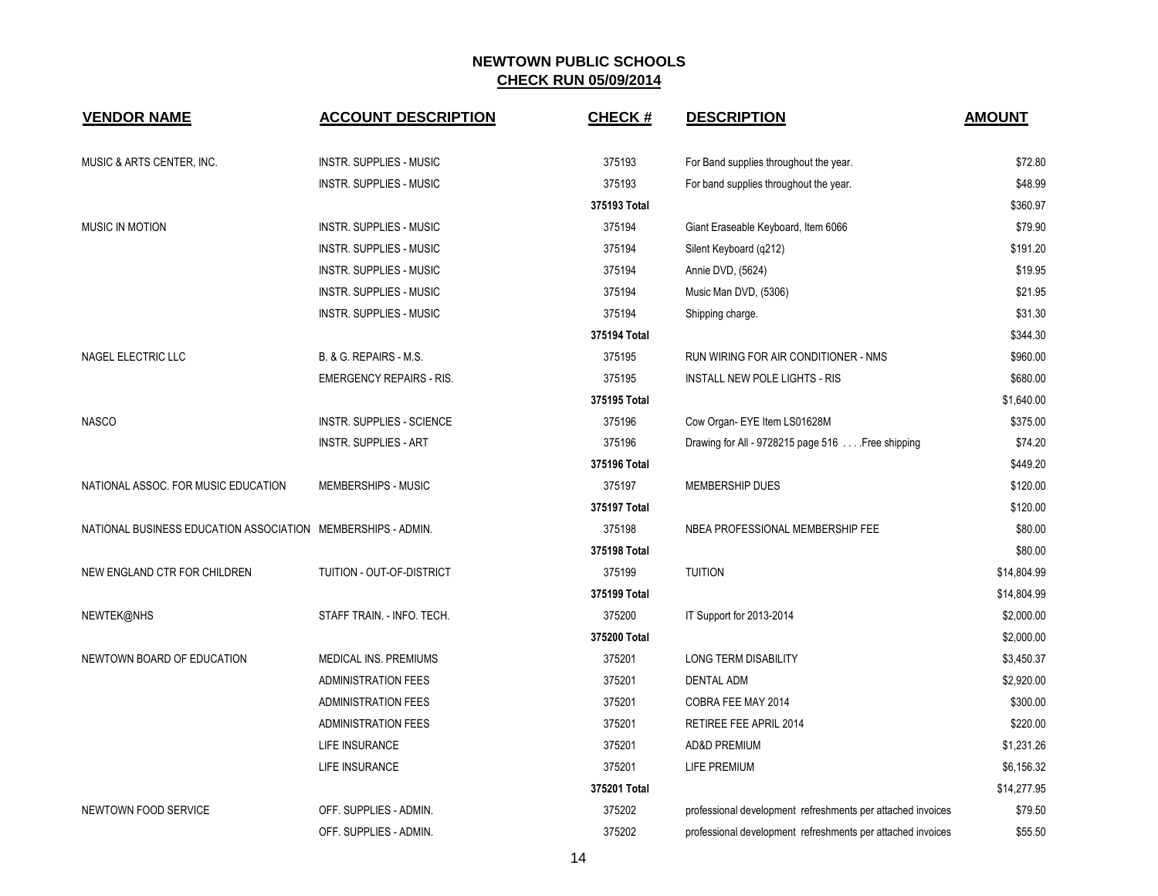| <b>VENDOR NAME</b>                                           | <b>ACCOUNT DESCRIPTION</b>      | <b>CHECK#</b> | <b>DESCRIPTION</b>                                          | <b>AMOUNT</b> |
|--------------------------------------------------------------|---------------------------------|---------------|-------------------------------------------------------------|---------------|
| MUSIC & ARTS CENTER, INC.                                    | <b>INSTR. SUPPLIES - MUSIC</b>  | 375193        | For Band supplies throughout the year.                      | \$72.80       |
|                                                              | <b>INSTR. SUPPLIES - MUSIC</b>  | 375193        | For band supplies throughout the year.                      | \$48.99       |
|                                                              |                                 | 375193 Total  |                                                             | \$360.97      |
| <b>MUSIC IN MOTION</b>                                       | <b>INSTR. SUPPLIES - MUSIC</b>  | 375194        | Giant Eraseable Keyboard, Item 6066                         | \$79.90       |
|                                                              | <b>INSTR. SUPPLIES - MUSIC</b>  | 375194        | Silent Keyboard (q212)                                      | \$191.20      |
|                                                              | <b>INSTR. SUPPLIES - MUSIC</b>  | 375194        | Annie DVD, (5624)                                           | \$19.95       |
|                                                              | <b>INSTR. SUPPLIES - MUSIC</b>  | 375194        | Music Man DVD, (5306)                                       | \$21.95       |
|                                                              | INSTR. SUPPLIES - MUSIC         | 375194        | Shipping charge.                                            | \$31.30       |
|                                                              |                                 | 375194 Total  |                                                             | \$344.30      |
| NAGEL ELECTRIC LLC                                           | B. & G. REPAIRS - M.S.          | 375195        | RUN WIRING FOR AIR CONDITIONER - NMS                        | \$960.00      |
|                                                              | <b>EMERGENCY REPAIRS - RIS.</b> | 375195        | <b>INSTALL NEW POLE LIGHTS - RIS</b>                        | \$680.00      |
|                                                              |                                 | 375195 Total  |                                                             | \$1,640.00    |
| <b>NASCO</b>                                                 | INSTR. SUPPLIES - SCIENCE       | 375196        | Cow Organ- EYE Item LS01628M                                | \$375.00      |
|                                                              | <b>INSTR. SUPPLIES - ART</b>    | 375196        | Drawing for All - 9728215 page 516 Free shipping            | \$74.20       |
|                                                              |                                 | 375196 Total  |                                                             | \$449.20      |
| NATIONAL ASSOC. FOR MUSIC EDUCATION                          | MEMBERSHIPS - MUSIC             | 375197        | <b>MEMBERSHIP DUES</b>                                      | \$120.00      |
|                                                              |                                 | 375197 Total  |                                                             | \$120.00      |
| NATIONAL BUSINESS EDUCATION ASSOCIATION MEMBERSHIPS - ADMIN. |                                 | 375198        | NBEA PROFESSIONAL MEMBERSHIP FEE                            | \$80.00       |
|                                                              |                                 | 375198 Total  |                                                             | \$80.00       |
| NEW ENGLAND CTR FOR CHILDREN                                 | TUITION - OUT-OF-DISTRICT       | 375199        | <b>TUITION</b>                                              | \$14,804.99   |
|                                                              |                                 | 375199 Total  |                                                             | \$14,804.99   |
| NEWTEK@NHS                                                   | STAFF TRAIN. - INFO. TECH.      | 375200        | IT Support for 2013-2014                                    | \$2,000.00    |
|                                                              |                                 | 375200 Total  |                                                             | \$2,000.00    |
| NEWTOWN BOARD OF EDUCATION                                   | <b>MEDICAL INS. PREMIUMS</b>    | 375201        | LONG TERM DISABILITY                                        | \$3,450.37    |
|                                                              | <b>ADMINISTRATION FEES</b>      | 375201        | <b>DENTAL ADM</b>                                           | \$2,920.00    |
|                                                              | <b>ADMINISTRATION FEES</b>      | 375201        | COBRA FEE MAY 2014                                          | \$300.00      |
|                                                              | <b>ADMINISTRATION FEES</b>      | 375201        | RETIREE FEE APRIL 2014                                      | \$220.00      |
|                                                              | LIFE INSURANCE                  | 375201        | AD&D PREMIUM                                                | \$1,231.26    |
|                                                              | LIFE INSURANCE                  | 375201        | LIFE PREMIUM                                                | \$6,156.32    |
|                                                              |                                 | 375201 Total  |                                                             | \$14,277.95   |
| NEWTOWN FOOD SERVICE                                         | OFF. SUPPLIES - ADMIN.          | 375202        | professional development refreshments per attached invoices | \$79.50       |
|                                                              | OFF. SUPPLIES - ADMIN.          | 375202        | professional development refreshments per attached invoices | \$55.50       |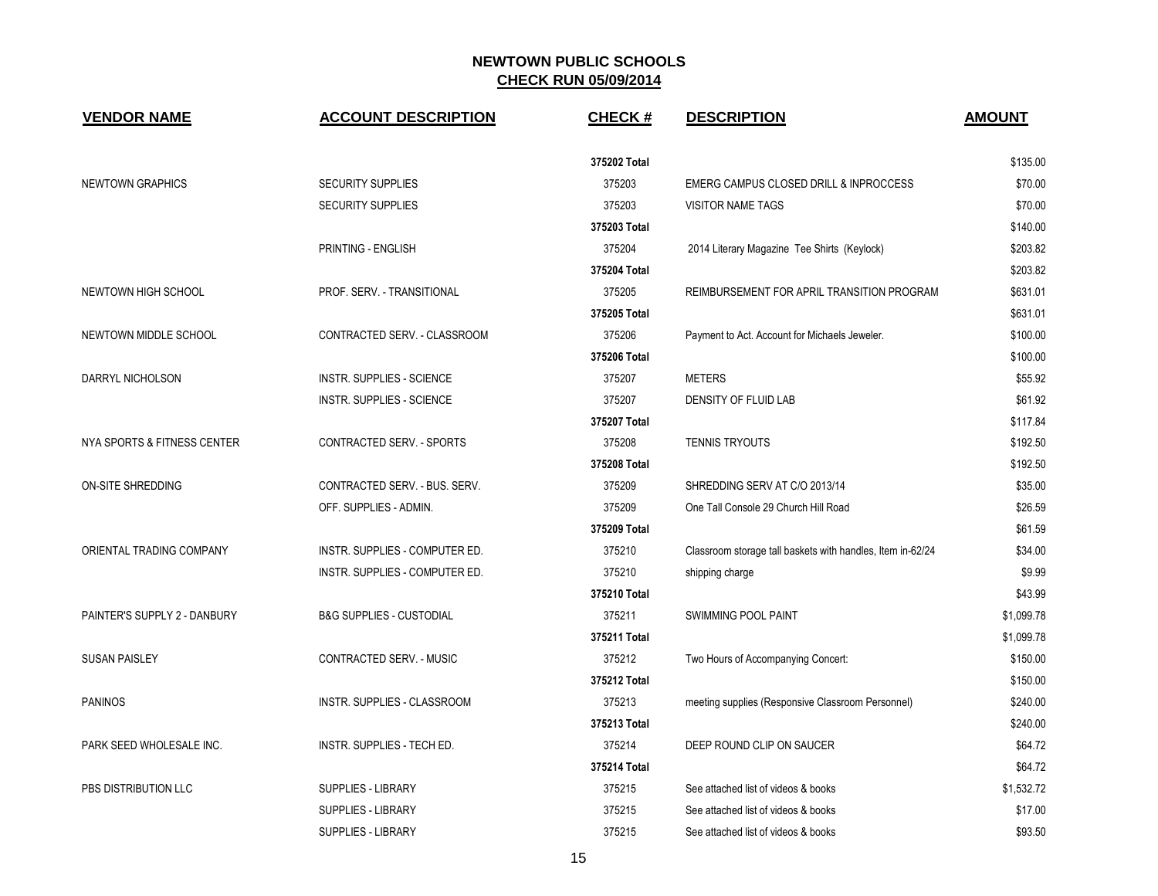| <b>VENDOR NAME</b>           | <b>ACCOUNT DESCRIPTION</b>          | <b>CHECK#</b> | <b>DESCRIPTION</b>                                         | <b>AMOUNT</b> |
|------------------------------|-------------------------------------|---------------|------------------------------------------------------------|---------------|
|                              |                                     | 375202 Total  |                                                            | \$135.00      |
| <b>NEWTOWN GRAPHICS</b>      | <b>SECURITY SUPPLIES</b>            | 375203        | EMERG CAMPUS CLOSED DRILL & INPROCCESS                     | \$70.00       |
|                              | <b>SECURITY SUPPLIES</b>            | 375203        | <b>VISITOR NAME TAGS</b>                                   | \$70.00       |
|                              |                                     | 375203 Total  |                                                            | \$140.00      |
|                              | PRINTING - ENGLISH                  | 375204        | 2014 Literary Magazine Tee Shirts (Keylock)                | \$203.82      |
|                              |                                     | 375204 Total  |                                                            | \$203.82      |
| NEWTOWN HIGH SCHOOL          | PROF. SERV. - TRANSITIONAL          | 375205        | REIMBURSEMENT FOR APRIL TRANSITION PROGRAM                 | \$631.01      |
|                              |                                     | 375205 Total  |                                                            | \$631.01      |
| NEWTOWN MIDDLE SCHOOL        | CONTRACTED SERV. - CLASSROOM        | 375206        | Payment to Act. Account for Michaels Jeweler.              | \$100.00      |
|                              |                                     | 375206 Total  |                                                            | \$100.00      |
| DARRYL NICHOLSON             | INSTR. SUPPLIES - SCIENCE           | 375207        | <b>METERS</b>                                              | \$55.92       |
|                              | INSTR. SUPPLIES - SCIENCE           | 375207        | DENSITY OF FLUID LAB                                       | \$61.92       |
|                              |                                     | 375207 Total  |                                                            | \$117.84      |
| NYA SPORTS & FITNESS CENTER  | CONTRACTED SERV. - SPORTS           | 375208        | <b>TENNIS TRYOUTS</b>                                      | \$192.50      |
|                              |                                     | 375208 Total  |                                                            | \$192.50      |
| <b>ON-SITE SHREDDING</b>     | CONTRACTED SERV. - BUS. SERV.       | 375209        | SHREDDING SERV AT C/O 2013/14                              | \$35.00       |
|                              | OFF. SUPPLIES - ADMIN.              | 375209        | One Tall Console 29 Church Hill Road                       | \$26.59       |
|                              |                                     | 375209 Total  |                                                            | \$61.59       |
| ORIENTAL TRADING COMPANY     | INSTR. SUPPLIES - COMPUTER ED.      | 375210        | Classroom storage tall baskets with handles, Item in-62/24 | \$34.00       |
|                              | INSTR. SUPPLIES - COMPUTER ED.      | 375210        | shipping charge                                            | \$9.99        |
|                              |                                     | 375210 Total  |                                                            | \$43.99       |
| PAINTER'S SUPPLY 2 - DANBURY | <b>B&amp;G SUPPLIES - CUSTODIAL</b> | 375211        | SWIMMING POOL PAINT                                        | \$1,099.78    |
|                              |                                     | 375211 Total  |                                                            | \$1,099.78    |
| <b>SUSAN PAISLEY</b>         | CONTRACTED SERV. - MUSIC            | 375212        | Two Hours of Accompanying Concert:                         | \$150.00      |
|                              |                                     | 375212 Total  |                                                            | \$150.00      |
| <b>PANINOS</b>               | INSTR. SUPPLIES - CLASSROOM         | 375213        | meeting supplies (Responsive Classroom Personnel)          | \$240.00      |
|                              |                                     | 375213 Total  |                                                            | \$240.00      |
| PARK SEED WHOLESALE INC.     | INSTR. SUPPLIES - TECH ED.          | 375214        | DEEP ROUND CLIP ON SAUCER                                  | \$64.72       |
|                              |                                     | 375214 Total  |                                                            | \$64.72       |
| PBS DISTRIBUTION LLC         | <b>SUPPLIES - LIBRARY</b>           | 375215        | See attached list of videos & books                        | \$1,532.72    |
|                              | SUPPLIES - LIBRARY                  | 375215        | See attached list of videos & books                        | \$17.00       |
|                              | <b>SUPPLIES - LIBRARY</b>           | 375215        | See attached list of videos & books                        | \$93.50       |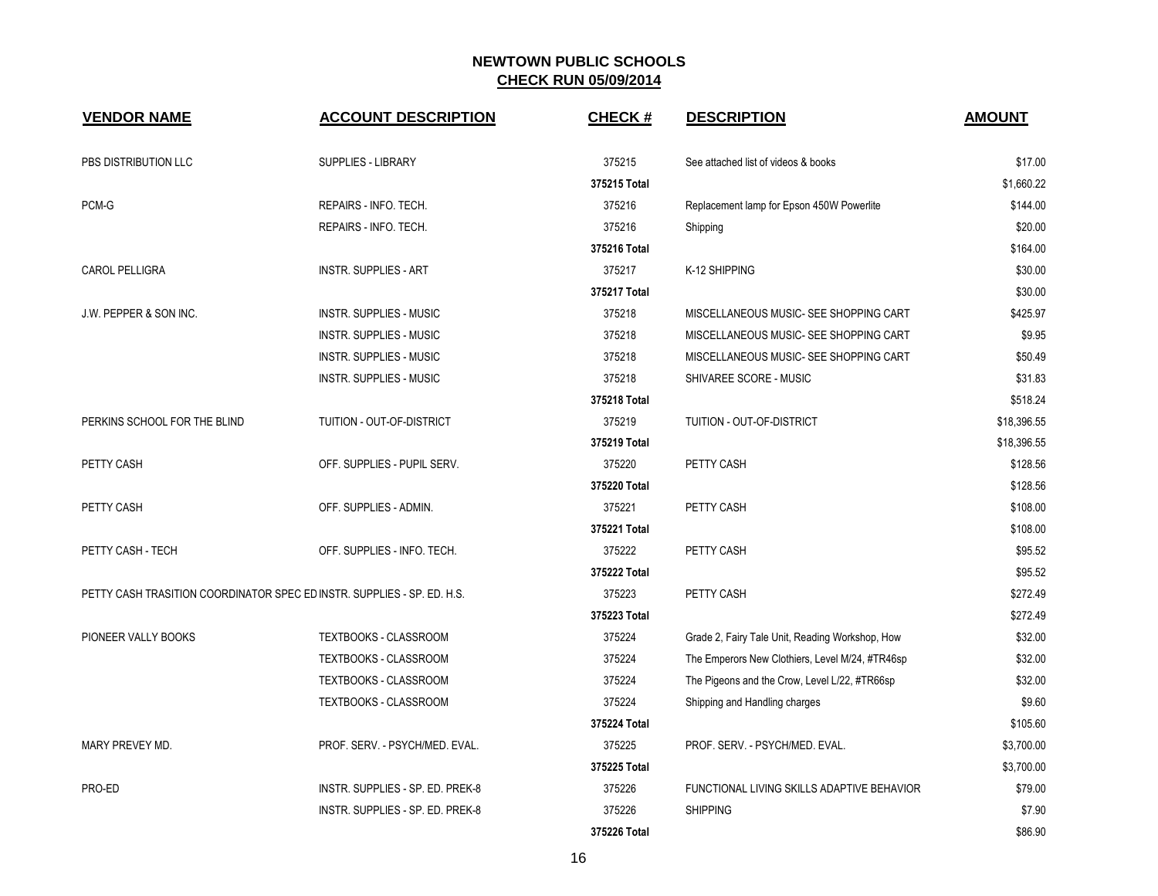| <b>VENDOR NAME</b>                                                     | <b>ACCOUNT DESCRIPTION</b>       | <b>CHECK#</b> | <b>DESCRIPTION</b>                              | <b>AMOUNT</b> |
|------------------------------------------------------------------------|----------------------------------|---------------|-------------------------------------------------|---------------|
| PBS DISTRIBUTION LLC                                                   | <b>SUPPLIES - LIBRARY</b>        | 375215        | See attached list of videos & books             | \$17.00       |
|                                                                        |                                  | 375215 Total  |                                                 | \$1,660.22    |
| PCM-G                                                                  | REPAIRS - INFO. TECH.            | 375216        | Replacement lamp for Epson 450W Powerlite       | \$144.00      |
|                                                                        | REPAIRS - INFO. TECH.            | 375216        | Shipping                                        | \$20.00       |
|                                                                        |                                  | 375216 Total  |                                                 | \$164.00      |
| <b>CAROL PELLIGRA</b>                                                  | <b>INSTR. SUPPLIES - ART</b>     | 375217        | K-12 SHIPPING                                   | \$30.00       |
|                                                                        |                                  | 375217 Total  |                                                 | \$30.00       |
| J.W. PEPPER & SON INC.                                                 | <b>INSTR. SUPPLIES - MUSIC</b>   | 375218        | MISCELLANEOUS MUSIC- SEE SHOPPING CART          | \$425.97      |
|                                                                        | <b>INSTR. SUPPLIES - MUSIC</b>   | 375218        | MISCELLANEOUS MUSIC- SEE SHOPPING CART          | \$9.95        |
|                                                                        | <b>INSTR. SUPPLIES - MUSIC</b>   | 375218        | MISCELLANEOUS MUSIC- SEE SHOPPING CART          | \$50.49       |
|                                                                        | INSTR. SUPPLIES - MUSIC          | 375218        | SHIVAREE SCORE - MUSIC                          | \$31.83       |
|                                                                        |                                  | 375218 Total  |                                                 | \$518.24      |
| PERKINS SCHOOL FOR THE BLIND                                           | TUITION - OUT-OF-DISTRICT        | 375219        | TUITION - OUT-OF-DISTRICT                       | \$18,396.55   |
|                                                                        |                                  | 375219 Total  |                                                 | \$18,396.55   |
| PETTY CASH                                                             | OFF. SUPPLIES - PUPIL SERV.      | 375220        | PETTY CASH                                      | \$128.56      |
|                                                                        |                                  | 375220 Total  |                                                 | \$128.56      |
| PETTY CASH                                                             | OFF. SUPPLIES - ADMIN.           | 375221        | PETTY CASH                                      | \$108.00      |
|                                                                        |                                  | 375221 Total  |                                                 | \$108.00      |
| PETTY CASH - TECH                                                      | OFF. SUPPLIES - INFO. TECH.      | 375222        | PETTY CASH                                      | \$95.52       |
|                                                                        |                                  | 375222 Total  |                                                 | \$95.52       |
| PETTY CASH TRASITION COORDINATOR SPEC EDINSTR. SUPPLIES - SP. ED. H.S. |                                  | 375223        | PETTY CASH                                      | \$272.49      |
|                                                                        |                                  | 375223 Total  |                                                 | \$272.49      |
| PIONEER VALLY BOOKS                                                    | TEXTBOOKS - CLASSROOM            | 375224        | Grade 2, Fairy Tale Unit, Reading Workshop, How | \$32.00       |
|                                                                        | TEXTBOOKS - CLASSROOM            | 375224        | The Emperors New Clothiers, Level M/24, #TR46sp | \$32.00       |
|                                                                        | <b>TEXTBOOKS - CLASSROOM</b>     | 375224        | The Pigeons and the Crow, Level L/22, #TR66sp   | \$32.00       |
|                                                                        | TEXTBOOKS - CLASSROOM            | 375224        | Shipping and Handling charges                   | \$9.60        |
|                                                                        |                                  | 375224 Total  |                                                 | \$105.60      |
| MARY PREVEY MD.                                                        | PROF. SERV. - PSYCH/MED. EVAL.   | 375225        | PROF. SERV. - PSYCH/MED. EVAL.                  | \$3,700.00    |
|                                                                        |                                  | 375225 Total  |                                                 | \$3,700.00    |
| PRO-ED                                                                 | INSTR. SUPPLIES - SP. ED. PREK-8 | 375226        | FUNCTIONAL LIVING SKILLS ADAPTIVE BEHAVIOR      | \$79.00       |
|                                                                        | INSTR. SUPPLIES - SP. ED. PREK-8 | 375226        | <b>SHIPPING</b>                                 | \$7.90        |
|                                                                        |                                  | 375226 Total  |                                                 | \$86.90       |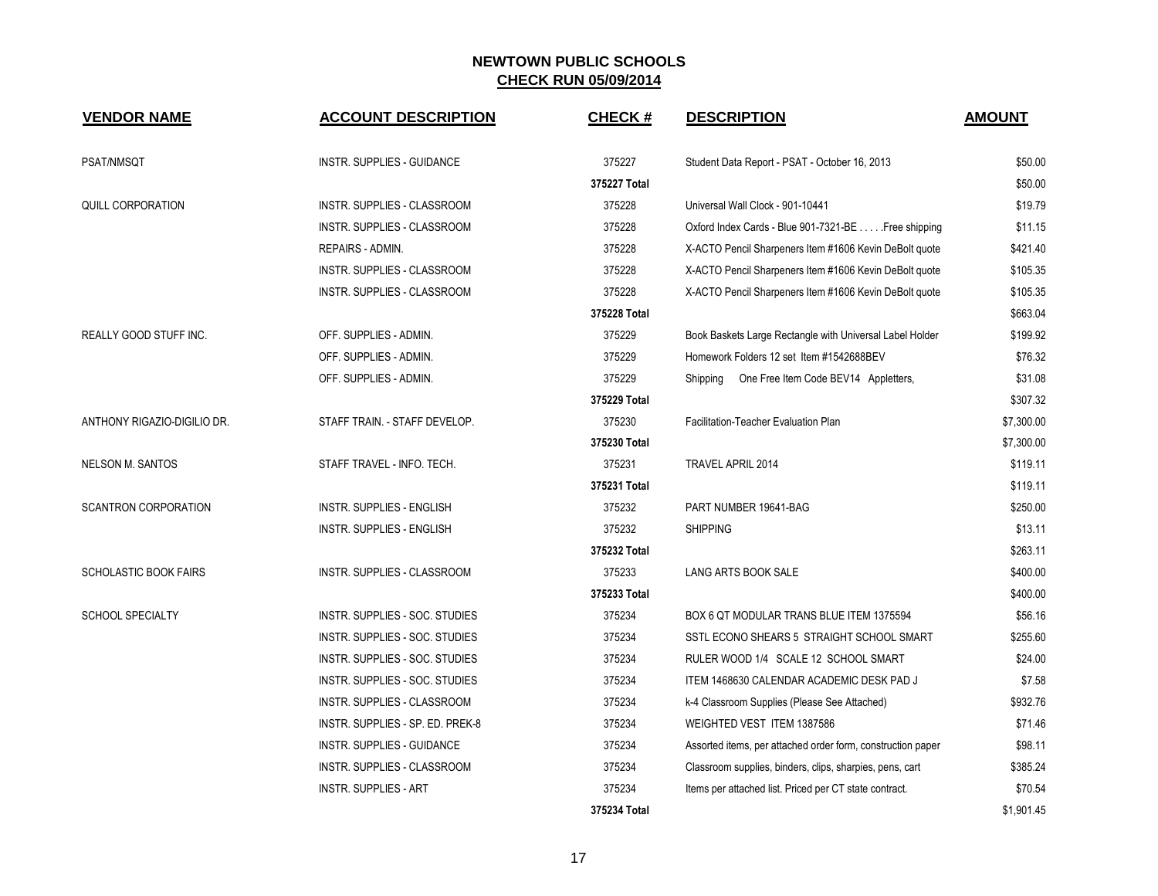| <b>VENDOR NAME</b>           | <b>ACCOUNT DESCRIPTION</b>         | <b>CHECK#</b> | <b>DESCRIPTION</b>                                          | <b>AMOUNT</b> |
|------------------------------|------------------------------------|---------------|-------------------------------------------------------------|---------------|
| PSAT/NMSQT                   | <b>INSTR. SUPPLIES - GUIDANCE</b>  | 375227        | Student Data Report - PSAT - October 16, 2013               | \$50.00       |
|                              |                                    | 375227 Total  |                                                             | \$50.00       |
| QUILL CORPORATION            | INSTR. SUPPLIES - CLASSROOM        | 375228        | Universal Wall Clock - 901-10441                            | \$19.79       |
|                              | <b>INSTR. SUPPLIES - CLASSROOM</b> | 375228        | Oxford Index Cards - Blue 901-7321-BE Free shipping         | \$11.15       |
|                              | REPAIRS - ADMIN.                   | 375228        | X-ACTO Pencil Sharpeners Item #1606 Kevin DeBolt quote      | \$421.40      |
|                              | INSTR. SUPPLIES - CLASSROOM        | 375228        | X-ACTO Pencil Sharpeners Item #1606 Kevin DeBolt quote      | \$105.35      |
|                              | INSTR. SUPPLIES - CLASSROOM        | 375228        | X-ACTO Pencil Sharpeners Item #1606 Kevin DeBolt quote      | \$105.35      |
|                              |                                    | 375228 Total  |                                                             | \$663.04      |
| REALLY GOOD STUFF INC.       | OFF. SUPPLIES - ADMIN.             | 375229        | Book Baskets Large Rectangle with Universal Label Holder    | \$199.92      |
|                              | OFF. SUPPLIES - ADMIN.             | 375229        | Homework Folders 12 set Item #1542688BEV                    | \$76.32       |
|                              | OFF. SUPPLIES - ADMIN.             | 375229        | One Free Item Code BEV14 Appletters,<br>Shipping            | \$31.08       |
|                              |                                    | 375229 Total  |                                                             | \$307.32      |
| ANTHONY RIGAZIO-DIGILIO DR.  | STAFF TRAIN. - STAFF DEVELOP.      | 375230        | Facilitation-Teacher Evaluation Plan                        | \$7,300.00    |
|                              |                                    | 375230 Total  |                                                             | \$7,300.00    |
| <b>NELSON M. SANTOS</b>      | STAFF TRAVEL - INFO. TECH.         | 375231        | <b>TRAVEL APRIL 2014</b>                                    | \$119.11      |
|                              |                                    | 375231 Total  |                                                             | \$119.11      |
| <b>SCANTRON CORPORATION</b>  | INSTR. SUPPLIES - ENGLISH          | 375232        | PART NUMBER 19641-BAG                                       | \$250.00      |
|                              | INSTR. SUPPLIES - ENGLISH          | 375232        | <b>SHIPPING</b>                                             | \$13.11       |
|                              |                                    | 375232 Total  |                                                             | \$263.11      |
| <b>SCHOLASTIC BOOK FAIRS</b> | INSTR. SUPPLIES - CLASSROOM        | 375233        | LANG ARTS BOOK SALE                                         | \$400.00      |
|                              |                                    | 375233 Total  |                                                             | \$400.00      |
| <b>SCHOOL SPECIALTY</b>      | INSTR. SUPPLIES - SOC. STUDIES     | 375234        | BOX 6 QT MODULAR TRANS BLUE ITEM 1375594                    | \$56.16       |
|                              | INSTR. SUPPLIES - SOC. STUDIES     | 375234        | SSTL ECONO SHEARS 5 STRAIGHT SCHOOL SMART                   | \$255.60      |
|                              | INSTR. SUPPLIES - SOC. STUDIES     | 375234        | RULER WOOD 1/4 SCALE 12 SCHOOL SMART                        | \$24.00       |
|                              | INSTR. SUPPLIES - SOC. STUDIES     | 375234        | ITEM 1468630 CALENDAR ACADEMIC DESK PAD J                   | \$7.58        |
|                              | INSTR. SUPPLIES - CLASSROOM        | 375234        | k-4 Classroom Supplies (Please See Attached)                | \$932.76      |
|                              | INSTR. SUPPLIES - SP. ED. PREK-8   | 375234        | WEIGHTED VEST ITEM 1387586                                  | \$71.46       |
|                              | INSTR. SUPPLIES - GUIDANCE         | 375234        | Assorted items, per attached order form, construction paper | \$98.11       |
|                              | <b>INSTR. SUPPLIES - CLASSROOM</b> | 375234        | Classroom supplies, binders, clips, sharpies, pens, cart    | \$385.24      |
|                              | <b>INSTR. SUPPLIES - ART</b>       | 375234        | Items per attached list. Priced per CT state contract.      | \$70.54       |
|                              |                                    | 375234 Total  |                                                             | \$1,901.45    |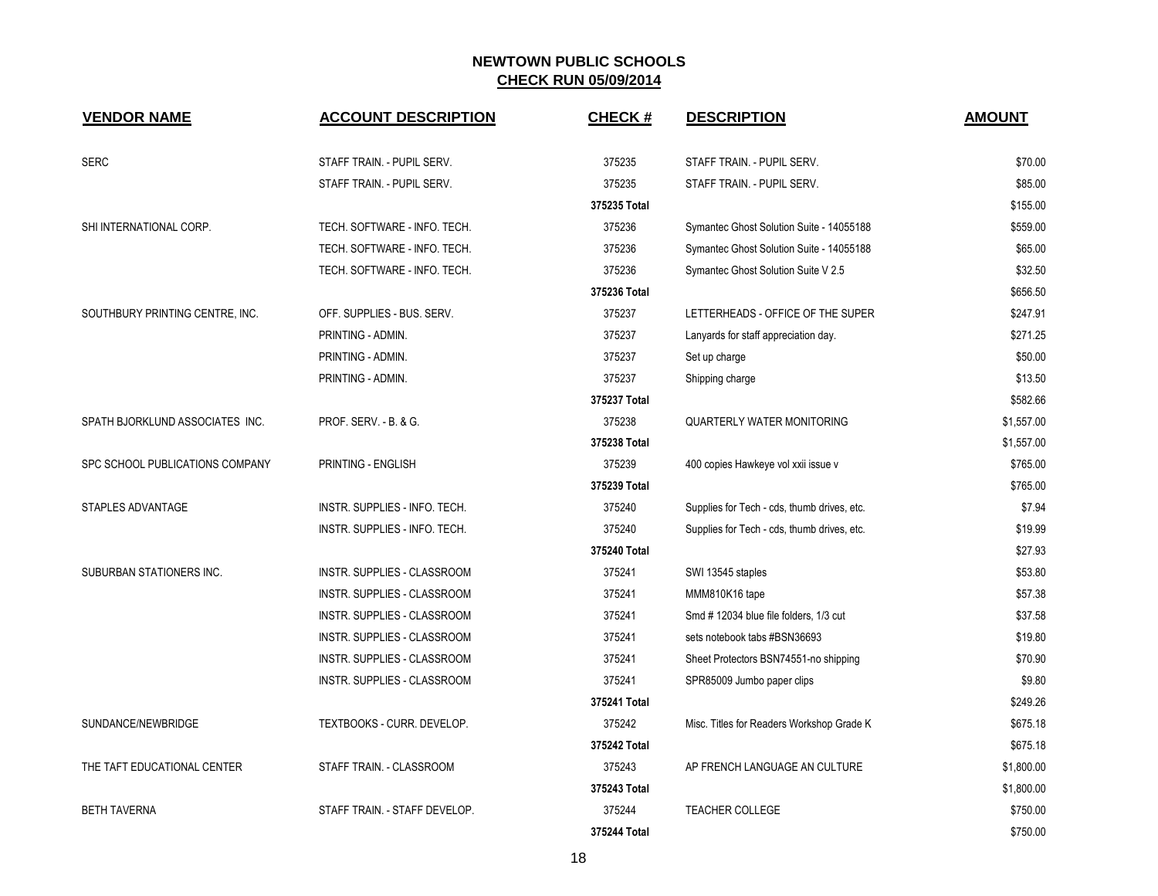| <b>VENDOR NAME</b>              | <b>ACCOUNT DESCRIPTION</b>         | <b>CHECK#</b> | <b>DESCRIPTION</b>                          | <b>AMOUNT</b> |
|---------------------------------|------------------------------------|---------------|---------------------------------------------|---------------|
| <b>SERC</b>                     | STAFF TRAIN. - PUPIL SERV.         | 375235        | STAFF TRAIN. - PUPIL SERV.                  | \$70.00       |
|                                 | STAFF TRAIN. - PUPIL SERV.         | 375235        | STAFF TRAIN. - PUPIL SERV.                  | \$85.00       |
|                                 |                                    | 375235 Total  |                                             | \$155.00      |
| SHI INTERNATIONAL CORP.         | TECH. SOFTWARE - INFO. TECH.       | 375236        | Symantec Ghost Solution Suite - 14055188    | \$559.00      |
|                                 | TECH. SOFTWARE - INFO. TECH.       | 375236        | Symantec Ghost Solution Suite - 14055188    | \$65.00       |
|                                 | TECH. SOFTWARE - INFO. TECH.       | 375236        | Symantec Ghost Solution Suite V 2.5         | \$32.50       |
|                                 |                                    | 375236 Total  |                                             | \$656.50      |
| SOUTHBURY PRINTING CENTRE, INC. | OFF. SUPPLIES - BUS. SERV.         | 375237        | LETTERHEADS - OFFICE OF THE SUPER           | \$247.91      |
|                                 | PRINTING - ADMIN.                  | 375237        | Lanyards for staff appreciation day.        | \$271.25      |
|                                 | PRINTING - ADMIN.                  | 375237        | Set up charge                               | \$50.00       |
|                                 | PRINTING - ADMIN.                  | 375237        | Shipping charge                             | \$13.50       |
|                                 |                                    | 375237 Total  |                                             | \$582.66      |
| SPATH BJORKLUND ASSOCIATES INC. | PROF. SERV. - B. & G.              | 375238        | <b>QUARTERLY WATER MONITORING</b>           | \$1,557.00    |
|                                 |                                    | 375238 Total  |                                             | \$1,557.00    |
| SPC SCHOOL PUBLICATIONS COMPANY | PRINTING - ENGLISH                 | 375239        | 400 copies Hawkeye vol xxii issue v         | \$765.00      |
|                                 |                                    | 375239 Total  |                                             | \$765.00      |
| STAPLES ADVANTAGE               | INSTR. SUPPLIES - INFO. TECH.      | 375240        | Supplies for Tech - cds, thumb drives, etc. | \$7.94        |
|                                 | INSTR. SUPPLIES - INFO. TECH.      | 375240        | Supplies for Tech - cds, thumb drives, etc. | \$19.99       |
|                                 |                                    | 375240 Total  |                                             | \$27.93       |
| SUBURBAN STATIONERS INC.        | INSTR. SUPPLIES - CLASSROOM        | 375241        | SWI 13545 staples                           | \$53.80       |
|                                 | INSTR. SUPPLIES - CLASSROOM        | 375241        | MMM810K16 tape                              | \$57.38       |
|                                 | INSTR. SUPPLIES - CLASSROOM        | 375241        | Smd # 12034 blue file folders, 1/3 cut      | \$37.58       |
|                                 | <b>INSTR. SUPPLIES - CLASSROOM</b> | 375241        | sets notebook tabs #BSN36693                | \$19.80       |
|                                 | INSTR. SUPPLIES - CLASSROOM        | 375241        | Sheet Protectors BSN74551-no shipping       | \$70.90       |
|                                 | INSTR. SUPPLIES - CLASSROOM        | 375241        | SPR85009 Jumbo paper clips                  | \$9.80        |
|                                 |                                    | 375241 Total  |                                             | \$249.26      |
| SUNDANCE/NEWBRIDGE              | TEXTBOOKS - CURR. DEVELOP.         | 375242        | Misc. Titles for Readers Workshop Grade K   | \$675.18      |
|                                 |                                    | 375242 Total  |                                             | \$675.18      |
| THE TAFT EDUCATIONAL CENTER     | STAFF TRAIN. - CLASSROOM           | 375243        | AP FRENCH LANGUAGE AN CULTURE               | \$1,800.00    |
|                                 |                                    | 375243 Total  |                                             | \$1,800.00    |
| <b>BETH TAVERNA</b>             | STAFF TRAIN. - STAFF DEVELOP.      | 375244        | <b>TEACHER COLLEGE</b>                      | \$750.00      |
|                                 |                                    | 375244 Total  |                                             | \$750.00      |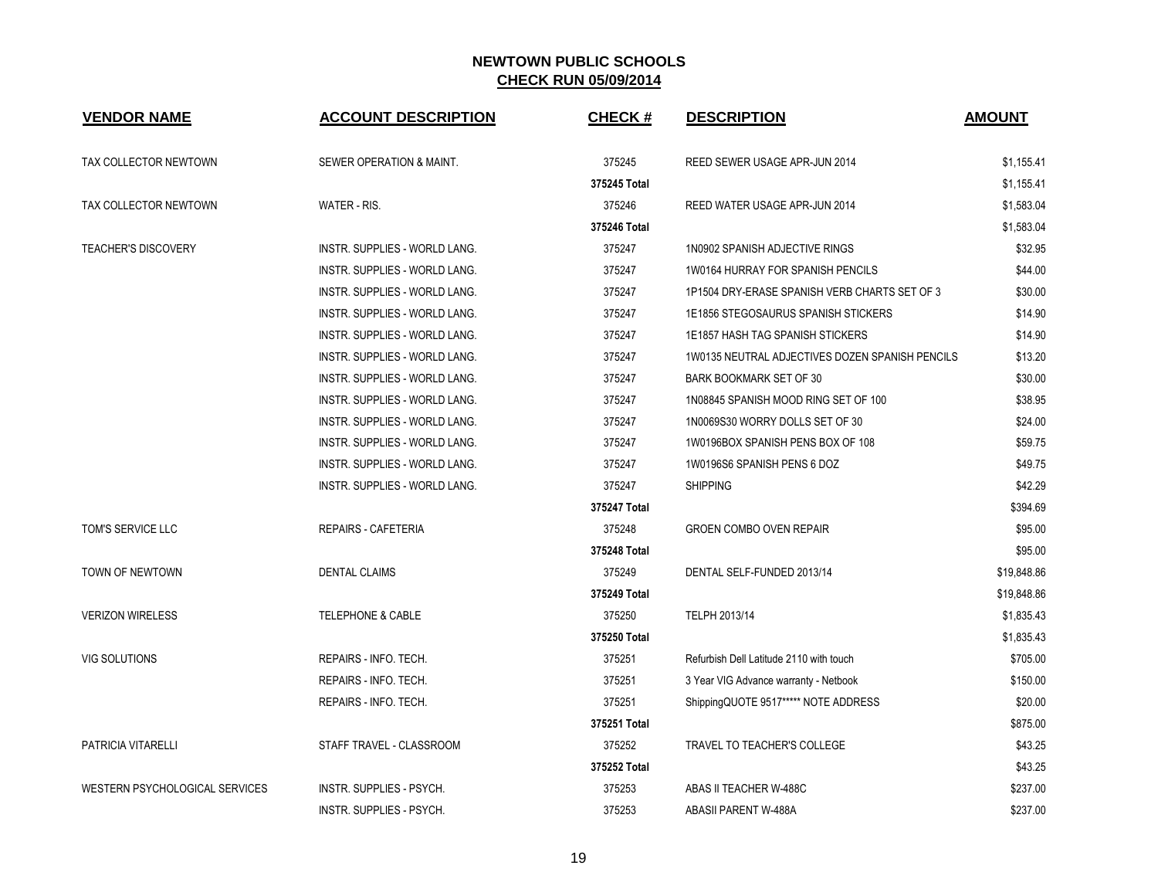| <b>VENDOR NAME</b>             | <b>ACCOUNT DESCRIPTION</b>           | <b>CHECK#</b> | <b>DESCRIPTION</b>                              | <b>AMOUNT</b> |
|--------------------------------|--------------------------------------|---------------|-------------------------------------------------|---------------|
| TAX COLLECTOR NEWTOWN          | SEWER OPERATION & MAINT.             | 375245        | REED SEWER USAGE APR-JUN 2014                   | \$1,155.41    |
|                                |                                      | 375245 Total  |                                                 | \$1,155.41    |
| TAX COLLECTOR NEWTOWN          | WATER - RIS.                         | 375246        | REED WATER USAGE APR-JUN 2014                   | \$1,583.04    |
|                                |                                      | 375246 Total  |                                                 | \$1,583.04    |
| <b>TEACHER'S DISCOVERY</b>     | <b>INSTR. SUPPLIES - WORLD LANG.</b> | 375247        | 1N0902 SPANISH ADJECTIVE RINGS                  | \$32.95       |
|                                | INSTR. SUPPLIES - WORLD LANG.        | 375247        | 1W0164 HURRAY FOR SPANISH PENCILS               | \$44.00       |
|                                | <b>INSTR. SUPPLIES - WORLD LANG.</b> | 375247        | 1P1504 DRY-ERASE SPANISH VERB CHARTS SET OF 3   | \$30.00       |
|                                | INSTR. SUPPLIES - WORLD LANG.        | 375247        | 1E1856 STEGOSAURUS SPANISH STICKERS             | \$14.90       |
|                                | INSTR. SUPPLIES - WORLD LANG.        | 375247        | 1E1857 HASH TAG SPANISH STICKERS                | \$14.90       |
|                                | INSTR. SUPPLIES - WORLD LANG.        | 375247        | 1W0135 NEUTRAL ADJECTIVES DOZEN SPANISH PENCILS | \$13.20       |
|                                | INSTR. SUPPLIES - WORLD LANG.        | 375247        | BARK BOOKMARK SET OF 30                         | \$30.00       |
|                                | INSTR. SUPPLIES - WORLD LANG.        | 375247        | 1N08845 SPANISH MOOD RING SET OF 100            | \$38.95       |
|                                | INSTR. SUPPLIES - WORLD LANG.        | 375247        | 1N0069S30 WORRY DOLLS SET OF 30                 | \$24.00       |
|                                | INSTR. SUPPLIES - WORLD LANG.        | 375247        | 1W0196BOX SPANISH PENS BOX OF 108               | \$59.75       |
|                                | <b>INSTR. SUPPLIES - WORLD LANG.</b> | 375247        | 1W0196S6 SPANISH PENS 6 DOZ                     | \$49.75       |
|                                | INSTR. SUPPLIES - WORLD LANG.        | 375247        | <b>SHIPPING</b>                                 | \$42.29       |
|                                |                                      | 375247 Total  |                                                 | \$394.69      |
| TOM'S SERVICE LLC              | REPAIRS - CAFETERIA                  | 375248        | <b>GROEN COMBO OVEN REPAIR</b>                  | \$95.00       |
|                                |                                      | 375248 Total  |                                                 | \$95.00       |
| TOWN OF NEWTOWN                | <b>DENTAL CLAIMS</b>                 | 375249        | DENTAL SELF-FUNDED 2013/14                      | \$19,848.86   |
|                                |                                      | 375249 Total  |                                                 | \$19,848.86   |
| <b>VERIZON WIRELESS</b>        | <b>TELEPHONE &amp; CABLE</b>         | 375250        | TELPH 2013/14                                   | \$1,835.43    |
|                                |                                      | 375250 Total  |                                                 | \$1,835.43    |
| VIG SOLUTIONS                  | REPAIRS - INFO. TECH.                | 375251        | Refurbish Dell Latitude 2110 with touch         | \$705.00      |
|                                | REPAIRS - INFO. TECH.                | 375251        | 3 Year VIG Advance warranty - Netbook           | \$150.00      |
|                                | REPAIRS - INFO. TECH.                | 375251        | ShippingQUOTE 9517***** NOTE ADDRESS            | \$20.00       |
|                                |                                      | 375251 Total  |                                                 | \$875.00      |
| PATRICIA VITARELLI             | STAFF TRAVEL - CLASSROOM             | 375252        | TRAVEL TO TEACHER'S COLLEGE                     | \$43.25       |
|                                |                                      | 375252 Total  |                                                 | \$43.25       |
| WESTERN PSYCHOLOGICAL SERVICES | <b>INSTR. SUPPLIES - PSYCH.</b>      | 375253        | ABAS II TEACHER W-488C                          | \$237.00      |
|                                | INSTR. SUPPLIES - PSYCH.             | 375253        | ABASII PARENT W-488A                            | \$237.00      |